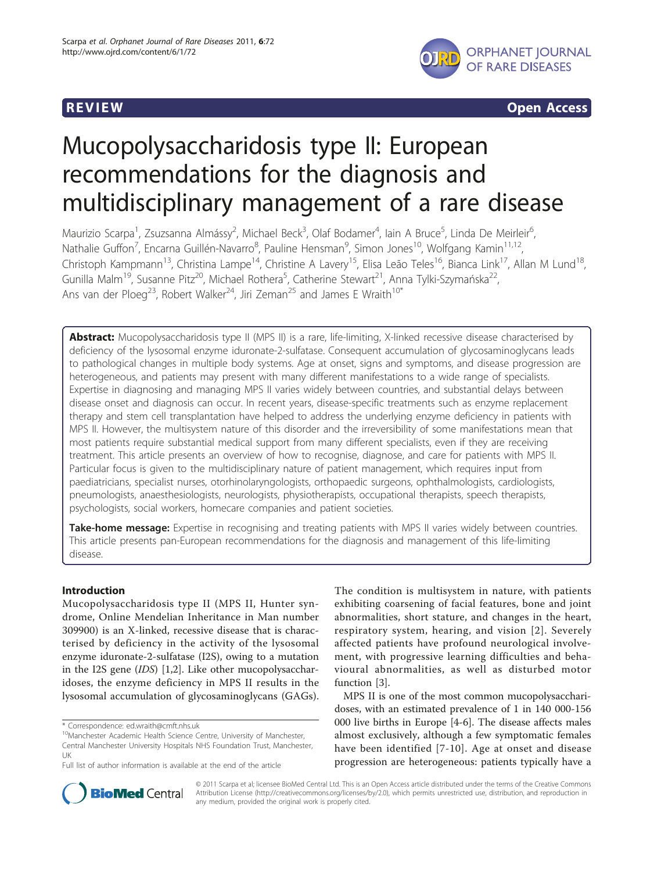

**REVIEW CONSTRUCTION CONSTRUCTION CONSTRUCTS** 

# Mucopolysaccharidosis type II: European recommendations for the diagnosis and multidisciplinary management of a rare disease

Maurizio Scarpa<sup>1</sup>, Zsuzsanna Almássy<sup>2</sup>, Michael Beck<sup>3</sup>, Olaf Bodamer<sup>4</sup>, Iain A Bruce<sup>5</sup>, Linda De Meirleir<sup>6</sup> י<br>, Nathalie Guffon<sup>7</sup>, Encarna Guillén-Navarro<sup>8</sup>, Pauline Hensman<sup>9</sup>, Simon Jones<sup>10</sup>, Wolfgang Kamin<sup>11,12</sup>, Christoph Kampmann<sup>13</sup>, Christina Lampe<sup>14</sup>, Christine A Lavery<sup>15</sup>, Elisa Leão Teles<sup>16</sup>, Bianca Link<sup>17</sup>, Allan M Lund<sup>18</sup>, Gunilla Malm<sup>19</sup>, Susanne Pitz<sup>20</sup>, Michael Rothera<sup>5</sup>, Catherine Stewart<sup>21</sup>, Anna Tylki-Szymańska<sup>22</sup>, Ans van der Ploeg<sup>23</sup>, Robert Walker<sup>24</sup>, Jiri Zeman<sup>25</sup> and James E Wraith<sup>10\*</sup>

Abstract: Mucopolysaccharidosis type II (MPS II) is a rare, life-limiting, X-linked recessive disease characterised by deficiency of the lysosomal enzyme iduronate-2-sulfatase. Consequent accumulation of glycosaminoglycans leads to pathological changes in multiple body systems. Age at onset, signs and symptoms, and disease progression are heterogeneous, and patients may present with many different manifestations to a wide range of specialists. Expertise in diagnosing and managing MPS II varies widely between countries, and substantial delays between disease onset and diagnosis can occur. In recent years, disease-specific treatments such as enzyme replacement therapy and stem cell transplantation have helped to address the underlying enzyme deficiency in patients with MPS II. However, the multisystem nature of this disorder and the irreversibility of some manifestations mean that most patients require substantial medical support from many different specialists, even if they are receiving treatment. This article presents an overview of how to recognise, diagnose, and care for patients with MPS II. Particular focus is given to the multidisciplinary nature of patient management, which requires input from paediatricians, specialist nurses, otorhinolaryngologists, orthopaedic surgeons, ophthalmologists, cardiologists, pneumologists, anaesthesiologists, neurologists, physiotherapists, occupational therapists, speech therapists, psychologists, social workers, homecare companies and patient societies.

Take-home message: Expertise in recognising and treating patients with MPS II varies widely between countries. This article presents pan-European recommendations for the diagnosis and management of this life-limiting disease.

# Introduction

Mucopolysaccharidosis type II (MPS II, Hunter syndrome, Online Mendelian Inheritance in Man number 309900) is an X-linked, recessive disease that is characterised by deficiency in the activity of the lysosomal enzyme iduronate-2-sulfatase (I2S), owing to a mutation in the I2S gene (IDS) [\[1,2](#page-14-0)]. Like other mucopolysaccharidoses, the enzyme deficiency in MPS II results in the lysosomal accumulation of glycosaminoglycans (GAGs).

The condition is multisystem in nature, with patients exhibiting coarsening of facial features, bone and joint abnormalities, short stature, and changes in the heart, respiratory system, hearing, and vision [[2](#page-14-0)]. Severely affected patients have profound neurological involvement, with progressive learning difficulties and behavioural abnormalities, as well as disturbed motor function [\[3](#page-14-0)].

MPS II is one of the most common mucopolysaccharidoses, with an estimated prevalence of 1 in 140 000-156 000 live births in Europe [\[4](#page-14-0)-[6\]](#page-14-0). The disease affects males almost exclusively, although a few symptomatic females have been identified [[7-10\]](#page-14-0). Age at onset and disease progression are heterogeneous: patients typically have a



© 2011 Scarpa et al; licensee BioMed Central Ltd. This is an Open Access article distributed under the terms of the Creative Commons Attribution License [\(http://creativecommons.org/licenses/by/2.0](http://creativecommons.org/licenses/by/2.0)), which permits unrestricted use, distribution, and reproduction in any medium, provided the original work is properly cited.

<sup>\*</sup> Correspondence: [ed.wraith@cmft.nhs.uk](mailto:ed.wraith@cmft.nhs.uk)

<sup>10</sup>Manchester Academic Health Science Centre, University of Manchester, Central Manchester University Hospitals NHS Foundation Trust, Manchester, UK

Full list of author information is available at the end of the article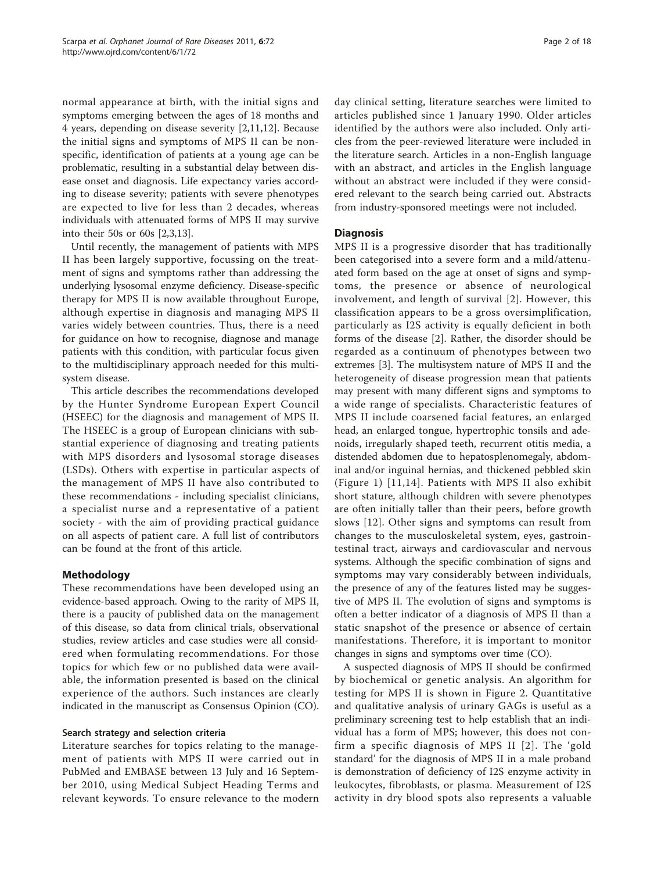normal appearance at birth, with the initial signs and symptoms emerging between the ages of 18 months and 4 years, depending on disease severity [\[2,11,12](#page-14-0)]. Because the initial signs and symptoms of MPS II can be nonspecific, identification of patients at a young age can be problematic, resulting in a substantial delay between disease onset and diagnosis. Life expectancy varies according to disease severity; patients with severe phenotypes are expected to live for less than 2 decades, whereas individuals with attenuated forms of MPS II may survive into their 50s or 60s [\[2,3,13\]](#page-14-0).

Until recently, the management of patients with MPS II has been largely supportive, focussing on the treatment of signs and symptoms rather than addressing the underlying lysosomal enzyme deficiency. Disease-specific therapy for MPS II is now available throughout Europe, although expertise in diagnosis and managing MPS II varies widely between countries. Thus, there is a need for guidance on how to recognise, diagnose and manage patients with this condition, with particular focus given to the multidisciplinary approach needed for this multisystem disease.

This article describes the recommendations developed by the Hunter Syndrome European Expert Council (HSEEC) for the diagnosis and management of MPS II. The HSEEC is a group of European clinicians with substantial experience of diagnosing and treating patients with MPS disorders and lysosomal storage diseases (LSDs). Others with expertise in particular aspects of the management of MPS II have also contributed to these recommendations - including specialist clinicians, a specialist nurse and a representative of a patient society - with the aim of providing practical guidance on all aspects of patient care. A full list of contributors can be found at the front of this article.

# Methodology

These recommendations have been developed using an evidence-based approach. Owing to the rarity of MPS II, there is a paucity of published data on the management of this disease, so data from clinical trials, observational studies, review articles and case studies were all considered when formulating recommendations. For those topics for which few or no published data were available, the information presented is based on the clinical experience of the authors. Such instances are clearly indicated in the manuscript as Consensus Opinion (CO).

# Search strategy and selection criteria

Literature searches for topics relating to the management of patients with MPS II were carried out in PubMed and EMBASE between 13 July and 16 September 2010, using Medical Subject Heading Terms and relevant keywords. To ensure relevance to the modern day clinical setting, literature searches were limited to articles published since 1 January 1990. Older articles identified by the authors were also included. Only articles from the peer-reviewed literature were included in the literature search. Articles in a non-English language with an abstract, and articles in the English language without an abstract were included if they were considered relevant to the search being carried out. Abstracts from industry-sponsored meetings were not included.

# **Diagnosis**

MPS II is a progressive disorder that has traditionally been categorised into a severe form and a mild/attenuated form based on the age at onset of signs and symptoms, the presence or absence of neurological involvement, and length of survival [[2\]](#page-14-0). However, this classification appears to be a gross oversimplification, particularly as I2S activity is equally deficient in both forms of the disease [\[2](#page-14-0)]. Rather, the disorder should be regarded as a continuum of phenotypes between two extremes [[3\]](#page-14-0). The multisystem nature of MPS II and the heterogeneity of disease progression mean that patients may present with many different signs and symptoms to a wide range of specialists. Characteristic features of MPS II include coarsened facial features, an enlarged head, an enlarged tongue, hypertrophic tonsils and adenoids, irregularly shaped teeth, recurrent otitis media, a distended abdomen due to hepatosplenomegaly, abdominal and/or inguinal hernias, and thickened pebbled skin (Figure [1](#page-2-0)) [[11,14\]](#page-14-0). Patients with MPS II also exhibit short stature, although children with severe phenotypes are often initially taller than their peers, before growth slows [\[12\]](#page-14-0). Other signs and symptoms can result from changes to the musculoskeletal system, eyes, gastrointestinal tract, airways and cardiovascular and nervous systems. Although the specific combination of signs and symptoms may vary considerably between individuals, the presence of any of the features listed may be suggestive of MPS II. The evolution of signs and symptoms is often a better indicator of a diagnosis of MPS II than a static snapshot of the presence or absence of certain manifestations. Therefore, it is important to monitor changes in signs and symptoms over time (CO).

A suspected diagnosis of MPS II should be confirmed by biochemical or genetic analysis. An algorithm for testing for MPS II is shown in Figure [2.](#page-3-0) Quantitative and qualitative analysis of urinary GAGs is useful as a preliminary screening test to help establish that an individual has a form of MPS; however, this does not confirm a specific diagnosis of MPS II [[2\]](#page-14-0). The 'gold standard' for the diagnosis of MPS II in a male proband is demonstration of deficiency of I2S enzyme activity in leukocytes, fibroblasts, or plasma. Measurement of I2S activity in dry blood spots also represents a valuable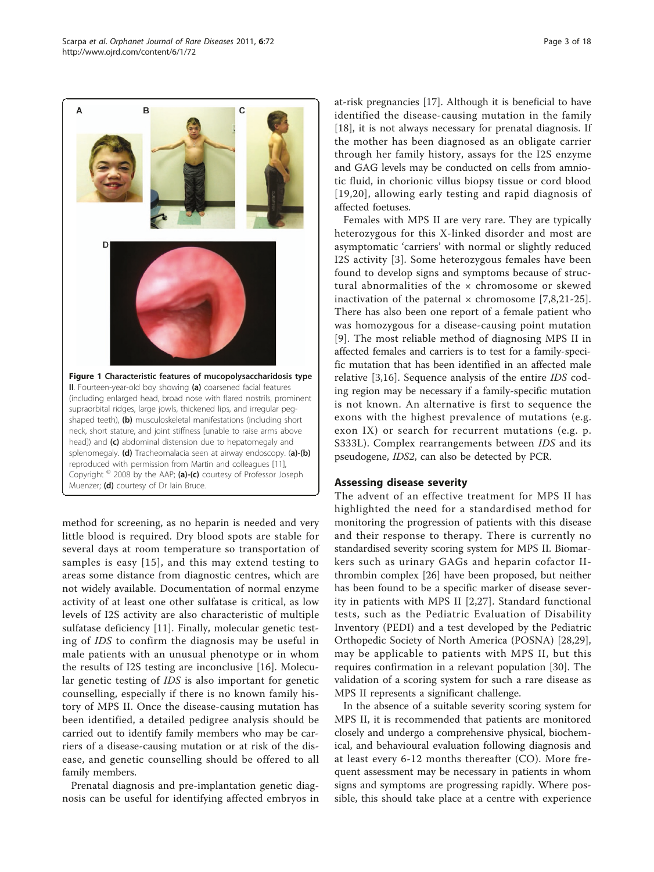method for screening, as no heparin is needed and very little blood is required. Dry blood spots are stable for several days at room temperature so transportation of samples is easy [[15\]](#page-14-0), and this may extend testing to areas some distance from diagnostic centres, which are not widely available. Documentation of normal enzyme activity of at least one other sulfatase is critical, as low levels of I2S activity are also characteristic of multiple sulfatase deficiency [\[11\]](#page-14-0). Finally, molecular genetic test-Copyright  $^{\circ}$  2008 by the AAP; (a)-(c) courtesy of Professor Joseph Muenzer; (d) courtesy of Dr Iain Bruce.

ing of IDS to confirm the diagnosis may be useful in male patients with an unusual phenotype or in whom the results of I2S testing are inconclusive [[16\]](#page-14-0). Molecular genetic testing of IDS is also important for genetic counselling, especially if there is no known family history of MPS II. Once the disease-causing mutation has been identified, a detailed pedigree analysis should be carried out to identify family members who may be carriers of a disease-causing mutation or at risk of the disease, and genetic counselling should be offered to all

family members. Prenatal diagnosis and pre-implantation genetic diagnosis can be useful for identifying affected embryos in at-risk pregnancies [\[17](#page-14-0)]. Although it is beneficial to have identified the disease-causing mutation in the family [[18\]](#page-14-0), it is not always necessary for prenatal diagnosis. If the mother has been diagnosed as an obligate carrier through her family history, assays for the I2S enzyme and GAG levels may be conducted on cells from amniotic fluid, in chorionic villus biopsy tissue or cord blood [[19,20\]](#page-14-0), allowing early testing and rapid diagnosis of affected foetuses.

Females with MPS II are very rare. They are typically heterozygous for this X-linked disorder and most are asymptomatic 'carriers' with normal or slightly reduced I2S activity [[3\]](#page-14-0). Some heterozygous females have been found to develop signs and symptoms because of structural abnormalities of the × chromosome or skewed inactivation of the paternal  $\times$  chromosome [[7,8,21](#page-14-0)-[25](#page-15-0)]. There has also been one report of a female patient who was homozygous for a disease-causing point mutation [[9](#page-14-0)]. The most reliable method of diagnosing MPS II in affected females and carriers is to test for a family-specific mutation that has been identified in an affected male relative [[3,16\]](#page-14-0). Sequence analysis of the entire IDS coding region may be necessary if a family-specific mutation is not known. An alternative is first to sequence the exons with the highest prevalence of mutations (e.g. exon IX) or search for recurrent mutations (e.g. p. S333L). Complex rearrangements between *IDS* and its pseudogene, IDS2, can also be detected by PCR.

# Assessing disease severity

The advent of an effective treatment for MPS II has highlighted the need for a standardised method for monitoring the progression of patients with this disease and their response to therapy. There is currently no standardised severity scoring system for MPS II. Biomarkers such as urinary GAGs and heparin cofactor IIthrombin complex [[26\]](#page-15-0) have been proposed, but neither has been found to be a specific marker of disease severity in patients with MPS II [\[2,](#page-14-0)[27\]](#page-15-0). Standard functional tests, such as the Pediatric Evaluation of Disability Inventory (PEDI) and a test developed by the Pediatric Orthopedic Society of North America (POSNA) [\[28,29](#page-15-0)], may be applicable to patients with MPS II, but this requires confirmation in a relevant population [[30\]](#page-15-0). The validation of a scoring system for such a rare disease as MPS II represents a significant challenge.

In the absence of a suitable severity scoring system for MPS II, it is recommended that patients are monitored closely and undergo a comprehensive physical, biochemical, and behavioural evaluation following diagnosis and at least every 6-12 months thereafter (CO). More frequent assessment may be necessary in patients in whom signs and symptoms are progressing rapidly. Where possible, this should take place at a centre with experience

<span id="page-2-0"></span>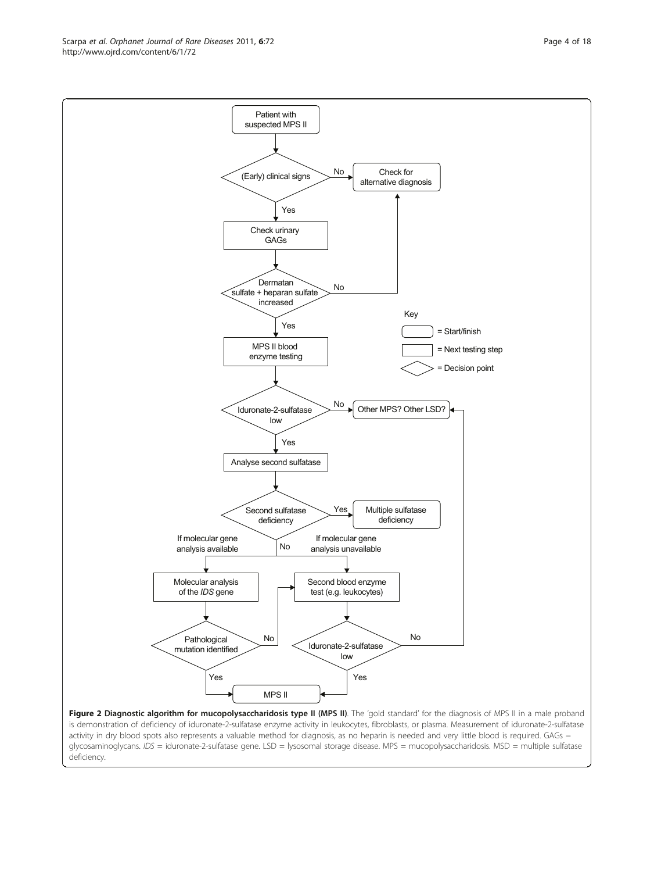<span id="page-3-0"></span>Scarpa et al. Orphanet Journal of Rare Diseases 2011, 6:72 http://www.ojrd.com/content/6/1/72



deficiency.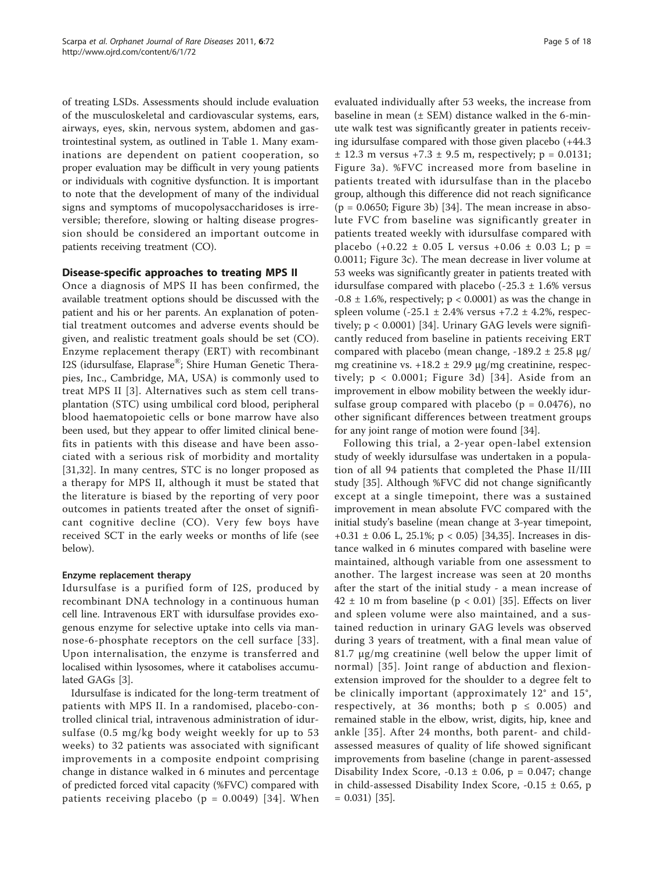of treating LSDs. Assessments should include evaluation of the musculoskeletal and cardiovascular systems, ears, airways, eyes, skin, nervous system, abdomen and gastrointestinal system, as outlined in Table [1](#page-5-0). Many examinations are dependent on patient cooperation, so proper evaluation may be difficult in very young patients or individuals with cognitive dysfunction. It is important to note that the development of many of the individual signs and symptoms of mucopolysaccharidoses is irreversible; therefore, slowing or halting disease progression should be considered an important outcome in patients receiving treatment (CO).

# Disease-specific approaches to treating MPS II

Once a diagnosis of MPS II has been confirmed, the available treatment options should be discussed with the patient and his or her parents. An explanation of potential treatment outcomes and adverse events should be given, and realistic treatment goals should be set (CO). Enzyme replacement therapy (ERT) with recombinant I2S (idursulfase, Elaprase®; Shire Human Genetic Therapies, Inc., Cambridge, MA, USA) is commonly used to treat MPS II [[3](#page-14-0)]. Alternatives such as stem cell transplantation (STC) using umbilical cord blood, peripheral blood haematopoietic cells or bone marrow have also been used, but they appear to offer limited clinical benefits in patients with this disease and have been associated with a serious risk of morbidity and mortality [[31,32](#page-15-0)]. In many centres, STC is no longer proposed as a therapy for MPS II, although it must be stated that the literature is biased by the reporting of very poor outcomes in patients treated after the onset of significant cognitive decline (CO). Very few boys have received SCT in the early weeks or months of life (see below).

# Enzyme replacement therapy

Idursulfase is a purified form of I2S, produced by recombinant DNA technology in a continuous human cell line. Intravenous ERT with idursulfase provides exogenous enzyme for selective uptake into cells via mannose-6-phosphate receptors on the cell surface [[33\]](#page-15-0). Upon internalisation, the enzyme is transferred and localised within lysosomes, where it catabolises accumulated GAGs [\[3\]](#page-14-0).

Idursulfase is indicated for the long-term treatment of patients with MPS II. In a randomised, placebo-controlled clinical trial, intravenous administration of idursulfase (0.5 mg/kg body weight weekly for up to 53 weeks) to 32 patients was associated with significant improvements in a composite endpoint comprising change in distance walked in 6 minutes and percentage of predicted forced vital capacity (%FVC) compared with patients receiving placebo ( $p = 0.0049$ ) [[34](#page-15-0)]. When

evaluated individually after 53 weeks, the increase from baseline in mean  $(\pm$  SEM) distance walked in the 6-minute walk test was significantly greater in patients receiving idursulfase compared with those given placebo (+44.3  $± 12.3$  m versus +7.3  $± 9.5$  m, respectively; p = 0.0131; Figure [3a\)](#page-7-0). %FVC increased more from baseline in patients treated with idursulfase than in the placebo group, although this difference did not reach significance  $(p = 0.0650;$  Figure [3b](#page-7-0)) [[34\]](#page-15-0). The mean increase in absolute FVC from baseline was significantly greater in patients treated weekly with idursulfase compared with placebo (+0.22  $\pm$  0.05 L versus +0.06  $\pm$  0.03 L; p = 0.0011; Figure [3c](#page-7-0)). The mean decrease in liver volume at 53 weeks was significantly greater in patients treated with idursulfase compared with placebo  $(-25.3 \pm 1.6\%)$  versus  $-0.8 \pm 1.6$ %, respectively; p < 0.0001) as was the change in spleen volume  $(-25.1 \pm 2.4\% \text{ versus } +7.2 \pm 4.2\% \text{, respectively.}$ tively; p < 0.0001) [[34\]](#page-15-0). Urinary GAG levels were significantly reduced from baseline in patients receiving ERT compared with placebo (mean change,  $-189.2 \pm 25.8$  μg/ mg creatinine vs.  $+18.2 \pm 29.9$   $\mu$ g/mg creatinine, respectively;  $p < 0.0001$ ; Figure [3d](#page-7-0)) [[34](#page-15-0)]. Aside from an improvement in elbow mobility between the weekly idursulfase group compared with placebo ( $p = 0.0476$ ), no other significant differences between treatment groups for any joint range of motion were found [[34\]](#page-15-0).

Following this trial, a 2-year open-label extension study of weekly idursulfase was undertaken in a population of all 94 patients that completed the Phase II/III study [\[35](#page-15-0)]. Although %FVC did not change significantly except at a single timepoint, there was a sustained improvement in mean absolute FVC compared with the initial study's baseline (mean change at 3-year timepoint, +0.31  $\pm$  0.06 L, 25.1%; p < 0.05) [[34,35\]](#page-15-0). Increases in distance walked in 6 minutes compared with baseline were maintained, although variable from one assessment to another. The largest increase was seen at 20 months after the start of the initial study - a mean increase of  $42 \pm 10$  m from baseline (p < 0.01) [[35\]](#page-15-0). Effects on liver and spleen volume were also maintained, and a sustained reduction in urinary GAG levels was observed during 3 years of treatment, with a final mean value of 81.7 μg/mg creatinine (well below the upper limit of normal) [[35\]](#page-15-0). Joint range of abduction and flexionextension improved for the shoulder to a degree felt to be clinically important (approximately 12° and 15°, respectively, at 36 months; both  $p \leq 0.005$ ) and remained stable in the elbow, wrist, digits, hip, knee and ankle [[35\]](#page-15-0). After 24 months, both parent- and childassessed measures of quality of life showed significant improvements from baseline (change in parent-assessed Disability Index Score,  $-0.13 \pm 0.06$ ,  $p = 0.047$ ; change in child-assessed Disability Index Score,  $-0.15 \pm 0.65$ , p  $= 0.031$  [[35\]](#page-15-0).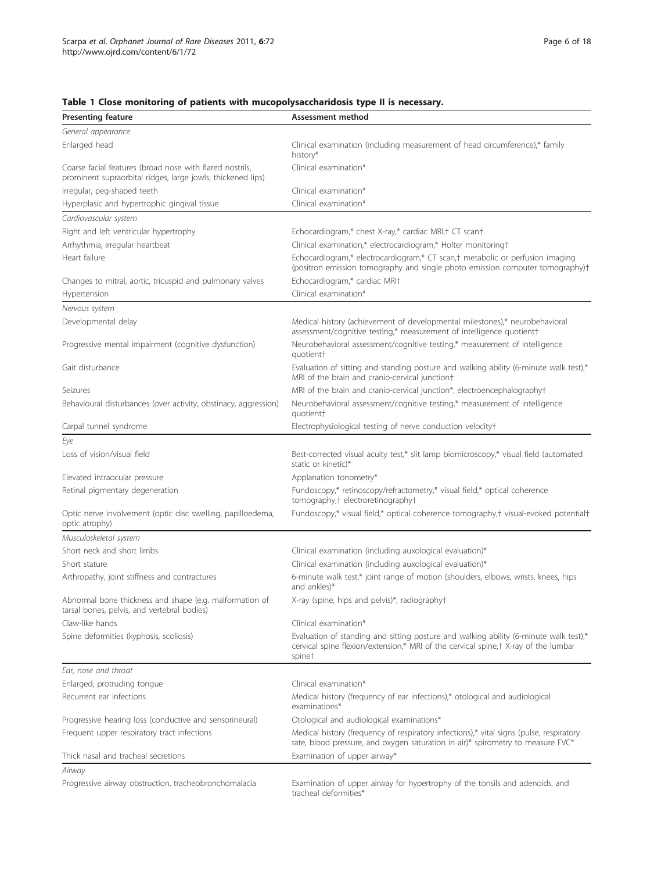| <b>Presenting feature</b>                                                                                               | <b>Assessment method</b>                                                                                                                                                              |  |  |
|-------------------------------------------------------------------------------------------------------------------------|---------------------------------------------------------------------------------------------------------------------------------------------------------------------------------------|--|--|
| General appearance                                                                                                      |                                                                                                                                                                                       |  |  |
| Enlarged head                                                                                                           | Clinical examination (including measurement of head circumference),* family<br>history*                                                                                               |  |  |
| Coarse facial features (broad nose with flared nostrils,<br>prominent supraorbital ridges, large jowls, thickened lips) | Clinical examination*                                                                                                                                                                 |  |  |
| Irregular, peg-shaped teeth                                                                                             | Clinical examination*                                                                                                                                                                 |  |  |
| Hyperplasic and hypertrophic gingival tissue                                                                            | Clinical examination*                                                                                                                                                                 |  |  |
| Cardiovascular system                                                                                                   |                                                                                                                                                                                       |  |  |
| Right and left ventricular hypertrophy                                                                                  | Echocardiogram,* chest X-ray,* cardiac MRI,† CT scan†                                                                                                                                 |  |  |
| Arrhythmia, irregular heartbeat                                                                                         | Clinical examination,* electrocardiogram,* Holter monitoring+                                                                                                                         |  |  |
| Heart failure                                                                                                           | Echocardiogram,* electrocardiogram,* CT scan,† metabolic or perfusion imaging<br>(positron emission tomography and single photo emission computer tomography)+                        |  |  |
| Changes to mitral, aortic, tricuspid and pulmonary valves                                                               | Echocardiogram,* cardiac MRI+                                                                                                                                                         |  |  |
| Hypertension                                                                                                            | Clinical examination*                                                                                                                                                                 |  |  |
| Nervous system                                                                                                          |                                                                                                                                                                                       |  |  |
| Developmental delay                                                                                                     | Medical history (achievement of developmental milestones),* neurobehavioral<br>assessment/cognitive testing,* measurement of intelligence quotient†                                   |  |  |
| Progressive mental impairment (cognitive dysfunction)                                                                   | Neurobehavioral assessment/cognitive testing,* measurement of intelligence<br>quotient <sup>+</sup>                                                                                   |  |  |
| Gait disturbance                                                                                                        | Evaluation of sitting and standing posture and walking ability (6-minute walk test),*<br>MRI of the brain and cranio-cervical junctiont                                               |  |  |
| Seizures                                                                                                                | MRI of the brain and cranio-cervical junction*, electroencephalography+                                                                                                               |  |  |
| Behavioural disturbances (over activity, obstinacy, aggression)                                                         | Neurobehavioral assessment/cognitive testing,* measurement of intelligence<br>quotient <sup>+</sup>                                                                                   |  |  |
| Carpal tunnel syndrome                                                                                                  | Electrophysiological testing of nerve conduction velocityt                                                                                                                            |  |  |
| Eve                                                                                                                     |                                                                                                                                                                                       |  |  |
| Loss of vision/visual field                                                                                             | Best-corrected visual acuity test,* slit lamp biomicroscopy,* visual field (automated<br>static or kinetic)*                                                                          |  |  |
| Elevated intraocular pressure                                                                                           | Applanation tonometry*                                                                                                                                                                |  |  |
| Retinal pigmentary degeneration                                                                                         | Fundoscopy,* retinoscopy/refractometry,* visual field,* optical coherence<br>tomography,+ electroretinography+                                                                        |  |  |
| Optic nerve involvement (optic disc swelling, papilloedema,<br>optic atrophy)                                           | Fundoscopy,* visual field,* optical coherence tomography,† visual-evoked potential†                                                                                                   |  |  |
| Musculoskeletal system                                                                                                  |                                                                                                                                                                                       |  |  |
| Short neck and short limbs                                                                                              | Clinical examination (including auxological evaluation)*                                                                                                                              |  |  |
| Short stature                                                                                                           | Clinical examination (including auxological evaluation)*                                                                                                                              |  |  |
| Arthropathy, joint stiffness and contractures                                                                           | 6-minute walk test,* joint range of motion (shoulders, elbows, wrists, knees, hips<br>and ankles)*                                                                                    |  |  |
| Abnormal bone thickness and shape (e.g. malformation of<br>tarsal bones, pelvis, and vertebral bodies)                  | X-ray (spine, hips and pelvis)*, radiographyt                                                                                                                                         |  |  |
| Claw-like hands                                                                                                         | Clinical examination*                                                                                                                                                                 |  |  |
| Spine deformities (kyphosis, scoliosis)                                                                                 | Evaluation of standing and sitting posture and walking ability (6-minute walk test),*<br>cervical spine flexion/extension,* MRI of the cervical spine,† X-ray of the lumbar<br>spinet |  |  |
| Ear, nose and throat                                                                                                    |                                                                                                                                                                                       |  |  |
| Enlarged, protruding tongue                                                                                             | Clinical examination*                                                                                                                                                                 |  |  |
| Recurrent ear infections                                                                                                | Medical history (frequency of ear infections),* otological and audiological<br>examinations*                                                                                          |  |  |
| Progressive hearing loss (conductive and sensorineural)                                                                 | Otological and audiological examinations*                                                                                                                                             |  |  |
| Frequent upper respiratory tract infections                                                                             | Medical history (frequency of respiratory infections),* vital signs (pulse, respiratory<br>rate, blood pressure, and oxygen saturation in air)* spirometry to measure FVC*            |  |  |
| Thick nasal and tracheal secretions                                                                                     | Examination of upper airway*                                                                                                                                                          |  |  |
| Airway                                                                                                                  |                                                                                                                                                                                       |  |  |
| Progressive airway obstruction, tracheobronchomalacia                                                                   | Examination of upper airway for hypertrophy of the tonsils and adenoids, and                                                                                                          |  |  |

tracheal deformities\*

# <span id="page-5-0"></span>Table 1 Close monitoring of patients with mucopolysaccharidosis type II is necessary.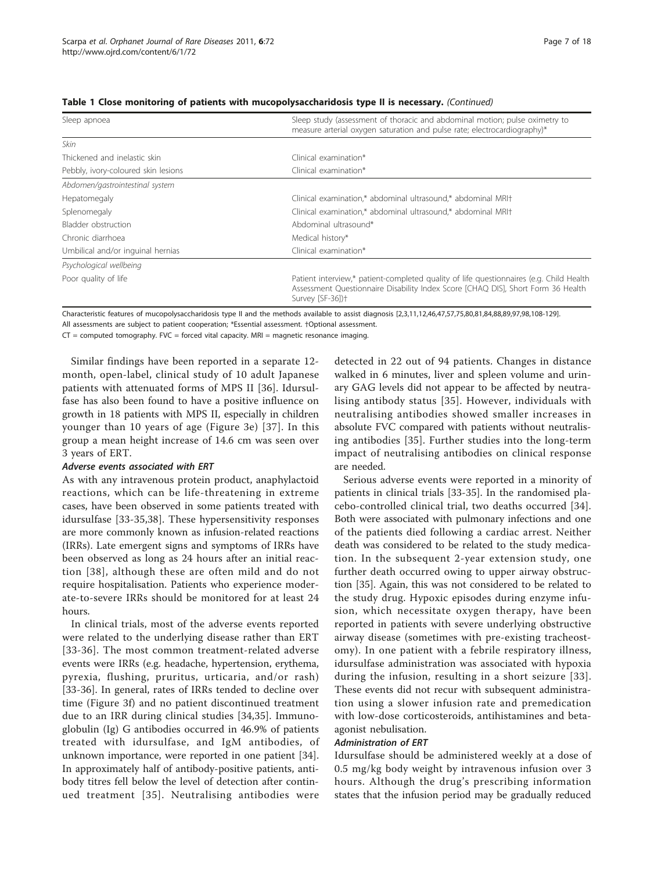| Sleep apnoea                                          | Sleep study (assessment of thoracic and abdominal motion; pulse oximetry to<br>measure arterial oxygen saturation and pulse rate; electrocardiography)*                                         |  |
|-------------------------------------------------------|-------------------------------------------------------------------------------------------------------------------------------------------------------------------------------------------------|--|
| Skin                                                  |                                                                                                                                                                                                 |  |
| Thickened and inelastic skin<br>Clinical examination* |                                                                                                                                                                                                 |  |
| Pebbly, ivory-coloured skin lesions                   | Clinical examination*                                                                                                                                                                           |  |
| Abdomen/gastrointestinal system                       |                                                                                                                                                                                                 |  |
| Hepatomegaly                                          | Clinical examination,* abdominal ultrasound,* abdominal MRI+                                                                                                                                    |  |
| Splenomegaly                                          | Clinical examination,* abdominal ultrasound,* abdominal MRI+                                                                                                                                    |  |
| Bladder obstruction                                   | Abdominal ultrasound*                                                                                                                                                                           |  |
| Chronic diarrhoea                                     | Medical history*                                                                                                                                                                                |  |
| Umbilical and/or inquinal hernias                     | Clinical examination*                                                                                                                                                                           |  |
| Psychological wellbeing                               |                                                                                                                                                                                                 |  |
| Poor quality of life                                  | Patient interview,* patient-completed quality of life questionnaires (e.g. Child Health<br>Assessment Questionnaire Disability Index Score [CHAQ DIS], Short Form 36 Health<br>Survey [SF-36])+ |  |

|  |  |  | Table 1 Close monitoring of patients with mucopolysaccharidosis type II is necessary. (Continued) |  |  |
|--|--|--|---------------------------------------------------------------------------------------------------|--|--|
|--|--|--|---------------------------------------------------------------------------------------------------|--|--|

Characteristic features of mucopolysaccharidosis type II and the methods available to assist diagnosis [[2](#page-14-0),[3](#page-14-0),[11,12](#page-14-0),[46,47,57](#page-15-0)[,75,80](#page-16-0),[81,84](#page-16-0),[88,89](#page-16-0),[97,98](#page-16-0),[108](#page-17-0)-[129](#page-17-0)]. All assessments are subject to patient cooperation; \*Essential assessment. †Optional assessment.

 $CT = computed tomography. FVC = forced vital capacity. MRI = magnetic resonance imaging.$ 

Similar findings have been reported in a separate 12 month, open-label, clinical study of 10 adult Japanese patients with attenuated forms of MPS II [[36](#page-15-0)]. Idursulfase has also been found to have a positive influence on growth in 18 patients with MPS II, especially in children younger than 10 years of age (Figure [3e\)](#page-7-0) [\[37\]](#page-15-0). In this group a mean height increase of 14.6 cm was seen over 3 years of ERT.

#### Adverse events associated with ERT

As with any intravenous protein product, anaphylactoid reactions, which can be life-threatening in extreme cases, have been observed in some patients treated with idursulfase [\[33](#page-15-0)-[35,38](#page-15-0)]. These hypersensitivity responses are more commonly known as infusion-related reactions (IRRs). Late emergent signs and symptoms of IRRs have been observed as long as 24 hours after an initial reaction [[38\]](#page-15-0), although these are often mild and do not require hospitalisation. Patients who experience moderate-to-severe IRRs should be monitored for at least 24 hours.

In clinical trials, most of the adverse events reported were related to the underlying disease rather than ERT [[33](#page-15-0)-[36](#page-15-0)]. The most common treatment-related adverse events were IRRs (e.g. headache, hypertension, erythema, pyrexia, flushing, pruritus, urticaria, and/or rash) [[33-36](#page-15-0)]. In general, rates of IRRs tended to decline over time (Figure [3f](#page-7-0)) and no patient discontinued treatment due to an IRR during clinical studies [[34,35\]](#page-15-0). Immunoglobulin (Ig) G antibodies occurred in 46.9% of patients treated with idursulfase, and IgM antibodies, of unknown importance, were reported in one patient [\[34](#page-15-0)]. In approximately half of antibody-positive patients, antibody titres fell below the level of detection after continued treatment [[35\]](#page-15-0). Neutralising antibodies were detected in 22 out of 94 patients. Changes in distance walked in 6 minutes, liver and spleen volume and urinary GAG levels did not appear to be affected by neutralising antibody status [[35](#page-15-0)]. However, individuals with neutralising antibodies showed smaller increases in absolute FVC compared with patients without neutralising antibodies [[35\]](#page-15-0). Further studies into the long-term impact of neutralising antibodies on clinical response are needed.

Serious adverse events were reported in a minority of patients in clinical trials [[33-35](#page-15-0)]. In the randomised placebo-controlled clinical trial, two deaths occurred [[34](#page-15-0)]. Both were associated with pulmonary infections and one of the patients died following a cardiac arrest. Neither death was considered to be related to the study medication. In the subsequent 2-year extension study, one further death occurred owing to upper airway obstruction [\[35](#page-15-0)]. Again, this was not considered to be related to the study drug. Hypoxic episodes during enzyme infusion, which necessitate oxygen therapy, have been reported in patients with severe underlying obstructive airway disease (sometimes with pre-existing tracheostomy). In one patient with a febrile respiratory illness, idursulfase administration was associated with hypoxia during the infusion, resulting in a short seizure [[33\]](#page-15-0). These events did not recur with subsequent administration using a slower infusion rate and premedication with low-dose corticosteroids, antihistamines and betaagonist nebulisation.

# Administration of ERT

Idursulfase should be administered weekly at a dose of 0.5 mg/kg body weight by intravenous infusion over 3 hours. Although the drug's prescribing information states that the infusion period may be gradually reduced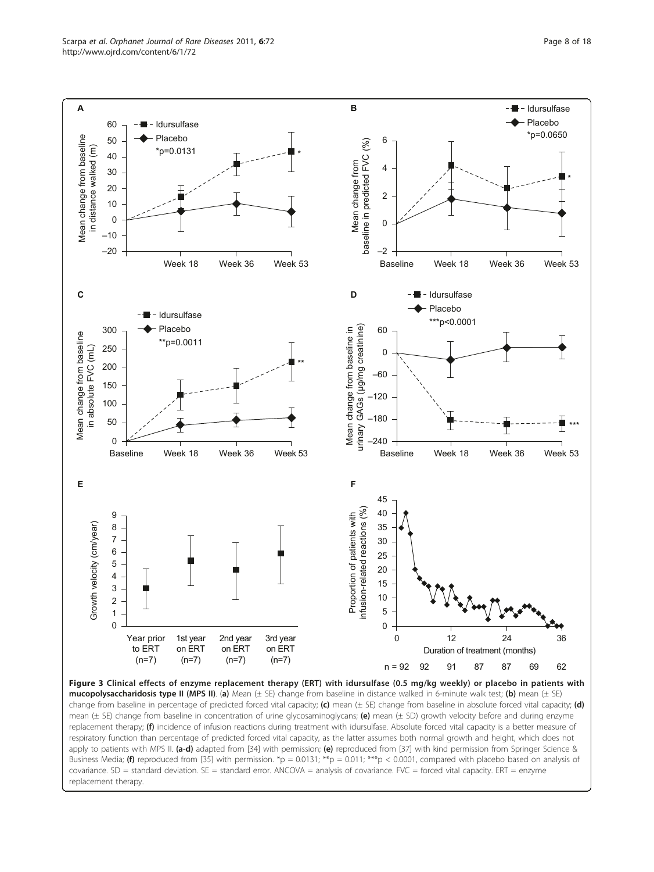<span id="page-7-0"></span>![](_page_7_Figure_2.jpeg)

mucopolysaccharidosis type II (MPS II). (a) Mean  $(\pm$  SE) change from baseline in distance walked in 6-minute walk test; (b) mean  $(\pm$  SE) change from baseline in percentage of predicted forced vital capacity; (c) mean  $(\pm$  SE) change from baseline in absolute forced vital capacity; (d) mean (± SE) change from baseline in concentration of urine glycosaminoglycans; (e) mean (± SD) growth velocity before and during enzyme replacement therapy; (f) incidence of infusion reactions during treatment with idursulfase. Absolute forced vital capacity is a better measure of respiratory function than percentage of predicted forced vital capacity, as the latter assumes both normal growth and height, which does not apply to patients with MPS II. (a-d) adapted from [\[34](#page-15-0)] with permission; (e) reproduced from [[37](#page-15-0)] with kind permission from Springer Science & Business Media; (f) reproduced from [[35](#page-15-0)] with permission. \*p = 0.0131; \*\*p = 0.011; \*\*\*p < 0.0001, compared with placebo based on analysis of covariance. SD = standard deviation. SE = standard error. ANCOVA = analysis of covariance. FVC = forced vital capacity. ERT = enzyme replacement therapy.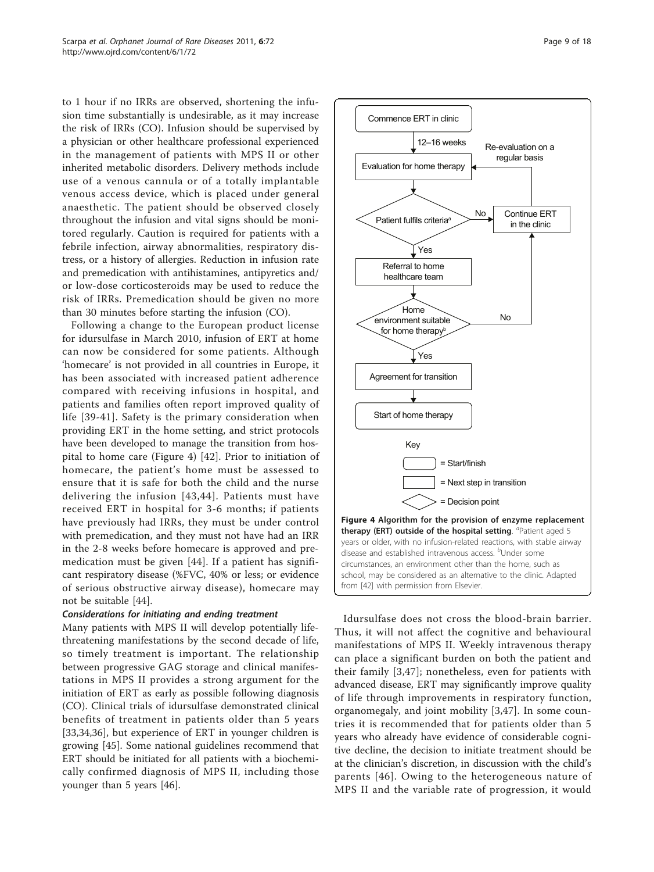to 1 hour if no IRRs are observed, shortening the infusion time substantially is undesirable, as it may increase the risk of IRRs (CO). Infusion should be supervised by a physician or other healthcare professional experienced in the management of patients with MPS II or other inherited metabolic disorders. Delivery methods include use of a venous cannula or of a totally implantable venous access device, which is placed under general anaesthetic. The patient should be observed closely throughout the infusion and vital signs should be monitored regularly. Caution is required for patients with a febrile infection, airway abnormalities, respiratory distress, or a history of allergies. Reduction in infusion rate and premedication with antihistamines, antipyretics and/ or low-dose corticosteroids may be used to reduce the risk of IRRs. Premedication should be given no more than 30 minutes before starting the infusion (CO).

Following a change to the European product license for idursulfase in March 2010, infusion of ERT at home can now be considered for some patients. Although 'homecare' is not provided in all countries in Europe, it has been associated with increased patient adherence compared with receiving infusions in hospital, and patients and families often report improved quality of life [[39-41\]](#page-15-0). Safety is the primary consideration when providing ERT in the home setting, and strict protocols have been developed to manage the transition from hospital to home care (Figure 4) [[42\]](#page-15-0). Prior to initiation of homecare, the patient's home must be assessed to ensure that it is safe for both the child and the nurse delivering the infusion [[43,44](#page-15-0)]. Patients must have received ERT in hospital for 3-6 months; if patients have previously had IRRs, they must be under control with premedication, and they must not have had an IRR in the 2-8 weeks before homecare is approved and premedication must be given [[44](#page-15-0)]. If a patient has significant respiratory disease (%FVC, 40% or less; or evidence of serious obstructive airway disease), homecare may not be suitable [[44\]](#page-15-0).

# Considerations for initiating and ending treatment

Many patients with MPS II will develop potentially lifethreatening manifestations by the second decade of life, so timely treatment is important. The relationship between progressive GAG storage and clinical manifestations in MPS II provides a strong argument for the initiation of ERT as early as possible following diagnosis (CO). Clinical trials of idursulfase demonstrated clinical benefits of treatment in patients older than 5 years [[33,34,36\]](#page-15-0), but experience of ERT in younger children is growing [\[45](#page-15-0)]. Some national guidelines recommend that ERT should be initiated for all patients with a biochemically confirmed diagnosis of MPS II, including those younger than 5 years [\[46](#page-15-0)].

![](_page_8_Figure_5.jpeg)

No

![](_page_8_Figure_6.jpeg)

Yes

Referral to home healthcare team

Home environment suitable

Idursulfase does not cross the blood-brain barrier. Thus, it will not affect the cognitive and behavioural manifestations of MPS II. Weekly intravenous therapy can place a significant burden on both the patient and their family [\[3,](#page-14-0)[47](#page-15-0)]; nonetheless, even for patients with advanced disease, ERT may significantly improve quality of life through improvements in respiratory function, organomegaly, and joint mobility [[3,](#page-14-0)[47](#page-15-0)]. In some countries it is recommended that for patients older than 5 years who already have evidence of considerable cognitive decline, the decision to initiate treatment should be at the clinician's discretion, in discussion with the child's parents [[46\]](#page-15-0). Owing to the heterogeneous nature of MPS II and the variable rate of progression, it would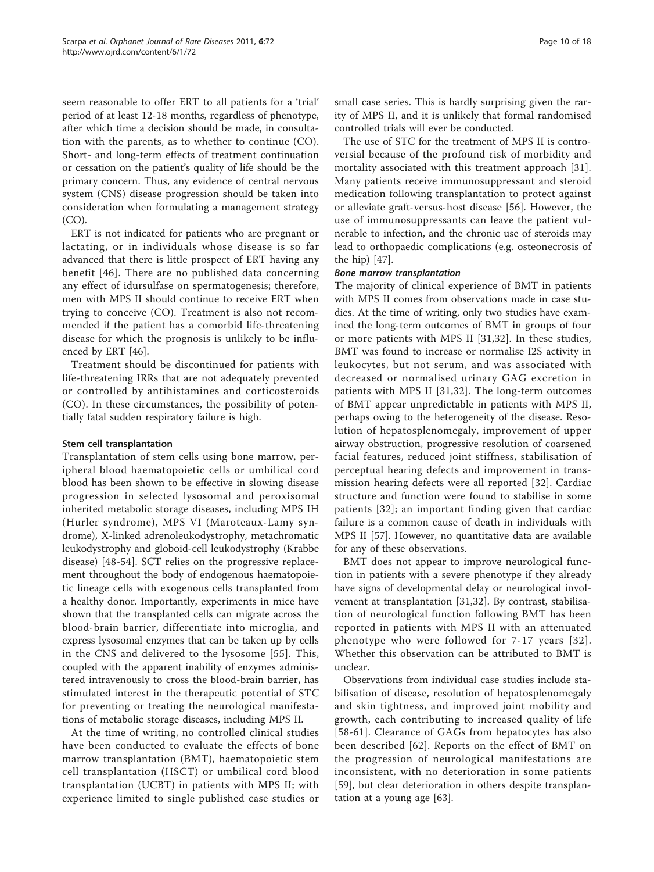seem reasonable to offer ERT to all patients for a 'trial' period of at least 12-18 months, regardless of phenotype, after which time a decision should be made, in consultation with the parents, as to whether to continue (CO). Short- and long-term effects of treatment continuation or cessation on the patient's quality of life should be the primary concern. Thus, any evidence of central nervous system (CNS) disease progression should be taken into consideration when formulating a management strategy (CO).

ERT is not indicated for patients who are pregnant or lactating, or in individuals whose disease is so far advanced that there is little prospect of ERT having any benefit [[46](#page-15-0)]. There are no published data concerning any effect of idursulfase on spermatogenesis; therefore, men with MPS II should continue to receive ERT when trying to conceive (CO). Treatment is also not recommended if the patient has a comorbid life-threatening disease for which the prognosis is unlikely to be influenced by ERT [[46\]](#page-15-0).

Treatment should be discontinued for patients with life-threatening IRRs that are not adequately prevented or controlled by antihistamines and corticosteroids (CO). In these circumstances, the possibility of potentially fatal sudden respiratory failure is high.

# Stem cell transplantation

Transplantation of stem cells using bone marrow, peripheral blood haematopoietic cells or umbilical cord blood has been shown to be effective in slowing disease progression in selected lysosomal and peroxisomal inherited metabolic storage diseases, including MPS IH (Hurler syndrome), MPS VI (Maroteaux-Lamy syndrome), X-linked adrenoleukodystrophy, metachromatic leukodystrophy and globoid-cell leukodystrophy (Krabbe disease) [[48](#page-15-0)-[54\]](#page-15-0). SCT relies on the progressive replacement throughout the body of endogenous haematopoietic lineage cells with exogenous cells transplanted from a healthy donor. Importantly, experiments in mice have shown that the transplanted cells can migrate across the blood-brain barrier, differentiate into microglia, and express lysosomal enzymes that can be taken up by cells in the CNS and delivered to the lysosome [[55](#page-15-0)]. This, coupled with the apparent inability of enzymes administered intravenously to cross the blood-brain barrier, has stimulated interest in the therapeutic potential of STC for preventing or treating the neurological manifestations of metabolic storage diseases, including MPS II.

At the time of writing, no controlled clinical studies have been conducted to evaluate the effects of bone marrow transplantation (BMT), haematopoietic stem cell transplantation (HSCT) or umbilical cord blood transplantation (UCBT) in patients with MPS II; with experience limited to single published case studies or small case series. This is hardly surprising given the rarity of MPS II, and it is unlikely that formal randomised controlled trials will ever be conducted.

The use of STC for the treatment of MPS II is controversial because of the profound risk of morbidity and mortality associated with this treatment approach [[31](#page-15-0)]. Many patients receive immunosuppressant and steroid medication following transplantation to protect against or alleviate graft-versus-host disease [[56\]](#page-15-0). However, the use of immunosuppressants can leave the patient vulnerable to infection, and the chronic use of steroids may lead to orthopaedic complications (e.g. osteonecrosis of the hip) [\[47](#page-15-0)].

# Bone marrow transplantation

The majority of clinical experience of BMT in patients with MPS II comes from observations made in case studies. At the time of writing, only two studies have examined the long-term outcomes of BMT in groups of four or more patients with MPS II [[31](#page-15-0),[32\]](#page-15-0). In these studies, BMT was found to increase or normalise I2S activity in leukocytes, but not serum, and was associated with decreased or normalised urinary GAG excretion in patients with MPS II [[31,32](#page-15-0)]. The long-term outcomes of BMT appear unpredictable in patients with MPS II, perhaps owing to the heterogeneity of the disease. Resolution of hepatosplenomegaly, improvement of upper airway obstruction, progressive resolution of coarsened facial features, reduced joint stiffness, stabilisation of perceptual hearing defects and improvement in transmission hearing defects were all reported [\[32](#page-15-0)]. Cardiac structure and function were found to stabilise in some patients [[32](#page-15-0)]; an important finding given that cardiac failure is a common cause of death in individuals with MPS II [[57\]](#page-15-0). However, no quantitative data are available for any of these observations.

BMT does not appear to improve neurological function in patients with a severe phenotype if they already have signs of developmental delay or neurological involvement at transplantation [[31,32\]](#page-15-0). By contrast, stabilisation of neurological function following BMT has been reported in patients with MPS II with an attenuated phenotype who were followed for 7-17 years [[32\]](#page-15-0). Whether this observation can be attributed to BMT is unclear.

Observations from individual case studies include stabilisation of disease, resolution of hepatosplenomegaly and skin tightness, and improved joint mobility and growth, each contributing to increased quality of life [[58](#page-15-0)-[61](#page-16-0)]. Clearance of GAGs from hepatocytes has also been described [[62](#page-16-0)]. Reports on the effect of BMT on the progression of neurological manifestations are inconsistent, with no deterioration in some patients [[59\]](#page-15-0), but clear deterioration in others despite transplantation at a young age [[63\]](#page-16-0).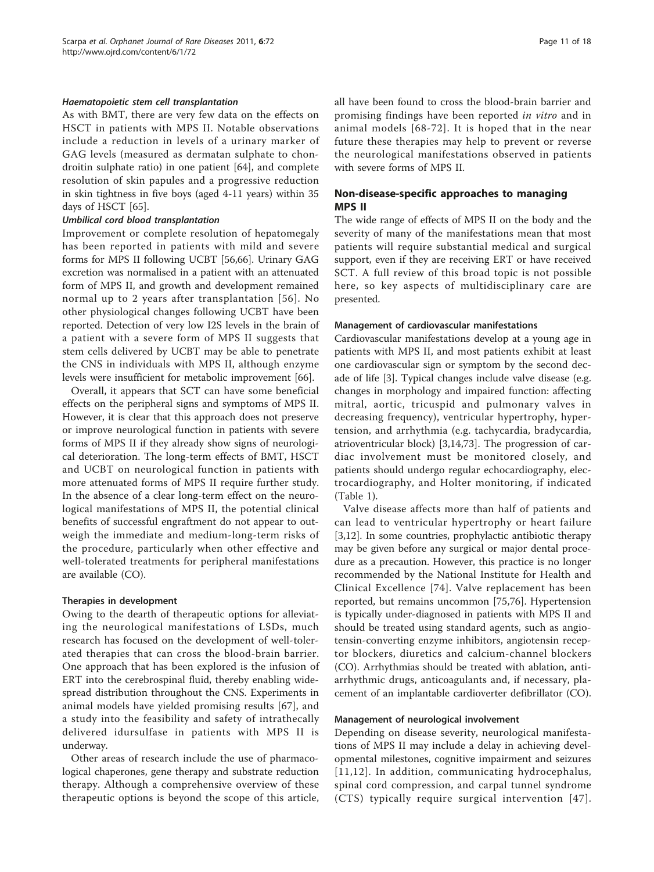#### Haematopoietic stem cell transplantation

As with BMT, there are very few data on the effects on HSCT in patients with MPS II. Notable observations include a reduction in levels of a urinary marker of GAG levels (measured as dermatan sulphate to chondroitin sulphate ratio) in one patient [[64\]](#page-16-0), and complete resolution of skin papules and a progressive reduction in skin tightness in five boys (aged 4-11 years) within 35 days of HSCT [[65\]](#page-16-0).

#### Umbilical cord blood transplantation

Improvement or complete resolution of hepatomegaly has been reported in patients with mild and severe forms for MPS II following UCBT [\[56](#page-15-0)[,66](#page-16-0)]. Urinary GAG excretion was normalised in a patient with an attenuated form of MPS II, and growth and development remained normal up to 2 years after transplantation [[56\]](#page-15-0). No other physiological changes following UCBT have been reported. Detection of very low I2S levels in the brain of a patient with a severe form of MPS II suggests that stem cells delivered by UCBT may be able to penetrate the CNS in individuals with MPS II, although enzyme levels were insufficient for metabolic improvement [\[66](#page-16-0)].

Overall, it appears that SCT can have some beneficial effects on the peripheral signs and symptoms of MPS II. However, it is clear that this approach does not preserve or improve neurological function in patients with severe forms of MPS II if they already show signs of neurological deterioration. The long-term effects of BMT, HSCT and UCBT on neurological function in patients with more attenuated forms of MPS II require further study. In the absence of a clear long-term effect on the neurological manifestations of MPS II, the potential clinical benefits of successful engraftment do not appear to outweigh the immediate and medium-long-term risks of the procedure, particularly when other effective and well-tolerated treatments for peripheral manifestations are available (CO).

# Therapies in development

Owing to the dearth of therapeutic options for alleviating the neurological manifestations of LSDs, much research has focused on the development of well-tolerated therapies that can cross the blood-brain barrier. One approach that has been explored is the infusion of ERT into the cerebrospinal fluid, thereby enabling widespread distribution throughout the CNS. Experiments in animal models have yielded promising results [\[67](#page-16-0)], and a study into the feasibility and safety of intrathecally delivered idursulfase in patients with MPS II is underway.

Other areas of research include the use of pharmacological chaperones, gene therapy and substrate reduction therapy. Although a comprehensive overview of these therapeutic options is beyond the scope of this article, all have been found to cross the blood-brain barrier and promising findings have been reported in vitro and in animal models [[68-72\]](#page-16-0). It is hoped that in the near future these therapies may help to prevent or reverse the neurological manifestations observed in patients with severe forms of MPS II.

# Non-disease-specific approaches to managing MPS II

The wide range of effects of MPS II on the body and the severity of many of the manifestations mean that most patients will require substantial medical and surgical support, even if they are receiving ERT or have received SCT. A full review of this broad topic is not possible here, so key aspects of multidisciplinary care are presented.

#### Management of cardiovascular manifestations

Cardiovascular manifestations develop at a young age in patients with MPS II, and most patients exhibit at least one cardiovascular sign or symptom by the second decade of life [[3\]](#page-14-0). Typical changes include valve disease (e.g. changes in morphology and impaired function: affecting mitral, aortic, tricuspid and pulmonary valves in decreasing frequency), ventricular hypertrophy, hypertension, and arrhythmia (e.g. tachycardia, bradycardia, atrioventricular block) [\[3,14](#page-14-0)[,73\]](#page-16-0). The progression of cardiac involvement must be monitored closely, and patients should undergo regular echocardiography, electrocardiography, and Holter monitoring, if indicated (Table [1\)](#page-5-0).

Valve disease affects more than half of patients and can lead to ventricular hypertrophy or heart failure [[3,12\]](#page-14-0). In some countries, prophylactic antibiotic therapy may be given before any surgical or major dental procedure as a precaution. However, this practice is no longer recommended by the National Institute for Health and Clinical Excellence [[74\]](#page-16-0). Valve replacement has been reported, but remains uncommon [\[75,76](#page-16-0)]. Hypertension is typically under-diagnosed in patients with MPS II and should be treated using standard agents, such as angiotensin-converting enzyme inhibitors, angiotensin receptor blockers, diuretics and calcium-channel blockers (CO). Arrhythmias should be treated with ablation, antiarrhythmic drugs, anticoagulants and, if necessary, placement of an implantable cardioverter defibrillator (CO).

#### Management of neurological involvement

Depending on disease severity, neurological manifestations of MPS II may include a delay in achieving developmental milestones, cognitive impairment and seizures [[11,12](#page-14-0)]. In addition, communicating hydrocephalus, spinal cord compression, and carpal tunnel syndrome (CTS) typically require surgical intervention [[47\]](#page-15-0).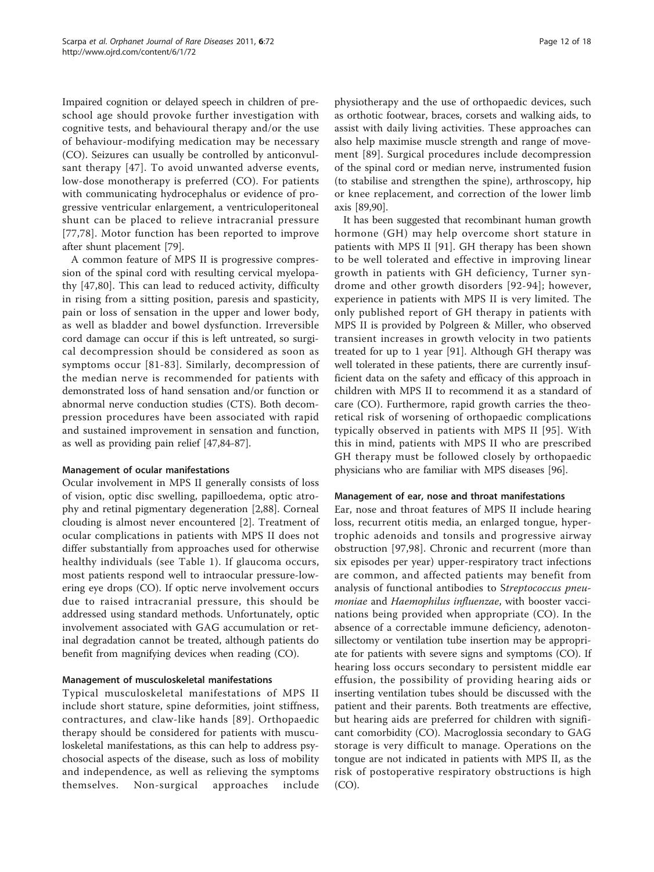Impaired cognition or delayed speech in children of preschool age should provoke further investigation with cognitive tests, and behavioural therapy and/or the use of behaviour-modifying medication may be necessary (CO). Seizures can usually be controlled by anticonvulsant therapy [\[47\]](#page-15-0). To avoid unwanted adverse events, low-dose monotherapy is preferred (CO). For patients with communicating hydrocephalus or evidence of progressive ventricular enlargement, a ventriculoperitoneal shunt can be placed to relieve intracranial pressure [[77](#page-16-0),[78\]](#page-16-0). Motor function has been reported to improve after shunt placement [[79\]](#page-16-0).

A common feature of MPS II is progressive compression of the spinal cord with resulting cervical myelopathy [[47,](#page-15-0)[80](#page-16-0)]. This can lead to reduced activity, difficulty in rising from a sitting position, paresis and spasticity, pain or loss of sensation in the upper and lower body, as well as bladder and bowel dysfunction. Irreversible cord damage can occur if this is left untreated, so surgical decompression should be considered as soon as symptoms occur [[81-83](#page-16-0)]. Similarly, decompression of the median nerve is recommended for patients with demonstrated loss of hand sensation and/or function or abnormal nerve conduction studies (CTS). Both decompression procedures have been associated with rapid and sustained improvement in sensation and function, as well as providing pain relief [[47](#page-15-0)[,84](#page-16-0)-[87](#page-16-0)].

# Management of ocular manifestations

Ocular involvement in MPS II generally consists of loss of vision, optic disc swelling, papilloedema, optic atrophy and retinal pigmentary degeneration [[2](#page-14-0),[88\]](#page-16-0). Corneal clouding is almost never encountered [\[2](#page-14-0)]. Treatment of ocular complications in patients with MPS II does not differ substantially from approaches used for otherwise healthy individuals (see Table [1\)](#page-5-0). If glaucoma occurs, most patients respond well to intraocular pressure-lowering eye drops (CO). If optic nerve involvement occurs due to raised intracranial pressure, this should be addressed using standard methods. Unfortunately, optic involvement associated with GAG accumulation or retinal degradation cannot be treated, although patients do benefit from magnifying devices when reading (CO).

# Management of musculoskeletal manifestations

Typical musculoskeletal manifestations of MPS II include short stature, spine deformities, joint stiffness, contractures, and claw-like hands [[89\]](#page-16-0). Orthopaedic therapy should be considered for patients with musculoskeletal manifestations, as this can help to address psychosocial aspects of the disease, such as loss of mobility and independence, as well as relieving the symptoms themselves. Non-surgical approaches include

physiotherapy and the use of orthopaedic devices, such as orthotic footwear, braces, corsets and walking aids, to assist with daily living activities. These approaches can also help maximise muscle strength and range of movement [\[89\]](#page-16-0). Surgical procedures include decompression of the spinal cord or median nerve, instrumented fusion (to stabilise and strengthen the spine), arthroscopy, hip or knee replacement, and correction of the lower limb axis [[89,90](#page-16-0)].

It has been suggested that recombinant human growth hormone (GH) may help overcome short stature in patients with MPS II [\[91](#page-16-0)]. GH therapy has been shown to be well tolerated and effective in improving linear growth in patients with GH deficiency, Turner syndrome and other growth disorders [[92-94](#page-16-0)]; however, experience in patients with MPS II is very limited. The only published report of GH therapy in patients with MPS II is provided by Polgreen & Miller, who observed transient increases in growth velocity in two patients treated for up to 1 year [[91\]](#page-16-0). Although GH therapy was well tolerated in these patients, there are currently insufficient data on the safety and efficacy of this approach in children with MPS II to recommend it as a standard of care (CO). Furthermore, rapid growth carries the theoretical risk of worsening of orthopaedic complications typically observed in patients with MPS II [[95](#page-16-0)]. With this in mind, patients with MPS II who are prescribed GH therapy must be followed closely by orthopaedic physicians who are familiar with MPS diseases [\[96](#page-16-0)].

# Management of ear, nose and throat manifestations

Ear, nose and throat features of MPS II include hearing loss, recurrent otitis media, an enlarged tongue, hypertrophic adenoids and tonsils and progressive airway obstruction [[97,98\]](#page-16-0). Chronic and recurrent (more than six episodes per year) upper-respiratory tract infections are common, and affected patients may benefit from analysis of functional antibodies to Streptococcus pneumoniae and Haemophilus influenzae, with booster vaccinations being provided when appropriate (CO). In the absence of a correctable immune deficiency, adenotonsillectomy or ventilation tube insertion may be appropriate for patients with severe signs and symptoms (CO). If hearing loss occurs secondary to persistent middle ear effusion, the possibility of providing hearing aids or inserting ventilation tubes should be discussed with the patient and their parents. Both treatments are effective, but hearing aids are preferred for children with significant comorbidity (CO). Macroglossia secondary to GAG storage is very difficult to manage. Operations on the tongue are not indicated in patients with MPS II, as the risk of postoperative respiratory obstructions is high (CO).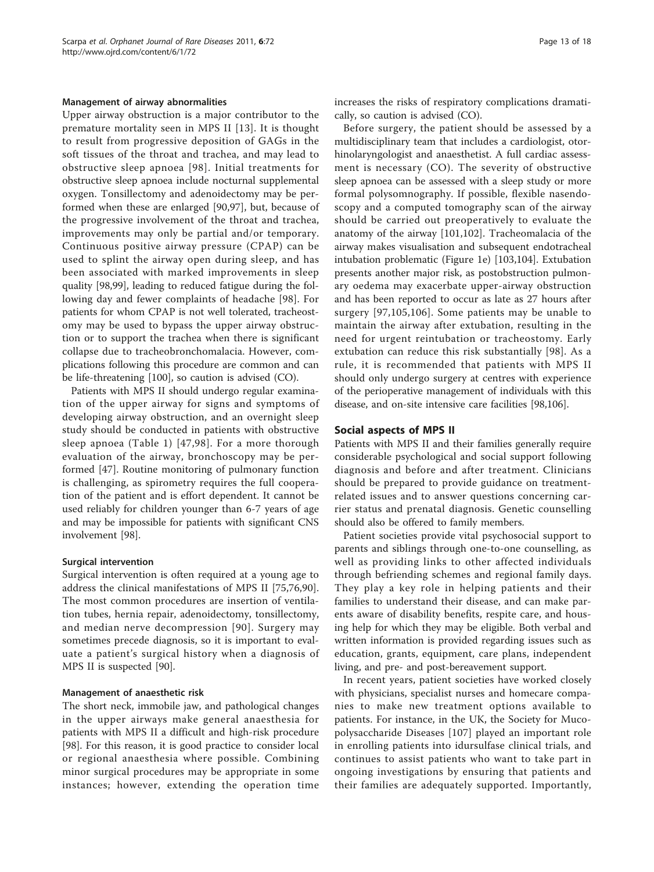#### Management of airway abnormalities

Upper airway obstruction is a major contributor to the premature mortality seen in MPS II [[13\]](#page-14-0). It is thought to result from progressive deposition of GAGs in the soft tissues of the throat and trachea, and may lead to obstructive sleep apnoea [[98\]](#page-16-0). Initial treatments for obstructive sleep apnoea include nocturnal supplemental oxygen. Tonsillectomy and adenoidectomy may be performed when these are enlarged [\[90,97](#page-16-0)], but, because of the progressive involvement of the throat and trachea, improvements may only be partial and/or temporary. Continuous positive airway pressure (CPAP) can be used to splint the airway open during sleep, and has been associated with marked improvements in sleep quality [[98,99](#page-16-0)], leading to reduced fatigue during the following day and fewer complaints of headache [\[98](#page-16-0)]. For patients for whom CPAP is not well tolerated, tracheostomy may be used to bypass the upper airway obstruction or to support the trachea when there is significant collapse due to tracheobronchomalacia. However, complications following this procedure are common and can be life-threatening [\[100\]](#page-16-0), so caution is advised (CO).

Patients with MPS II should undergo regular examination of the upper airway for signs and symptoms of developing airway obstruction, and an overnight sleep study should be conducted in patients with obstructive sleep apnoea (Table [1\)](#page-5-0) [\[47,](#page-15-0)[98\]](#page-16-0). For a more thorough evaluation of the airway, bronchoscopy may be performed [[47\]](#page-15-0). Routine monitoring of pulmonary function is challenging, as spirometry requires the full cooperation of the patient and is effort dependent. It cannot be used reliably for children younger than 6-7 years of age and may be impossible for patients with significant CNS involvement [\[98\]](#page-16-0).

#### Surgical intervention

Surgical intervention is often required at a young age to address the clinical manifestations of MPS II [[75,76,90](#page-16-0)]. The most common procedures are insertion of ventilation tubes, hernia repair, adenoidectomy, tonsillectomy, and median nerve decompression [[90](#page-16-0)]. Surgery may sometimes precede diagnosis, so it is important to evaluate a patient's surgical history when a diagnosis of MPS II is suspected [[90](#page-16-0)].

#### Management of anaesthetic risk

The short neck, immobile jaw, and pathological changes in the upper airways make general anaesthesia for patients with MPS II a difficult and high-risk procedure [[98\]](#page-16-0). For this reason, it is good practice to consider local or regional anaesthesia where possible. Combining minor surgical procedures may be appropriate in some instances; however, extending the operation time increases the risks of respiratory complications dramatically, so caution is advised (CO).

Before surgery, the patient should be assessed by a multidisciplinary team that includes a cardiologist, otorhinolaryngologist and anaesthetist. A full cardiac assessment is necessary (CO). The severity of obstructive sleep apnoea can be assessed with a sleep study or more formal polysomnography. If possible, flexible nasendoscopy and a computed tomography scan of the airway should be carried out preoperatively to evaluate the anatomy of the airway [[101](#page-16-0),[102\]](#page-16-0). Tracheomalacia of the airway makes visualisation and subsequent endotracheal intubation problematic (Figure [1e\)](#page-2-0) [[103](#page-17-0),[104](#page-17-0)]. Extubation presents another major risk, as postobstruction pulmonary oedema may exacerbate upper-airway obstruction and has been reported to occur as late as 27 hours after surgery [\[97,](#page-16-0)[105](#page-17-0),[106](#page-17-0)]. Some patients may be unable to maintain the airway after extubation, resulting in the need for urgent reintubation or tracheostomy. Early extubation can reduce this risk substantially [\[98\]](#page-16-0). As a rule, it is recommended that patients with MPS II should only undergo surgery at centres with experience of the perioperative management of individuals with this disease, and on-site intensive care facilities [[98](#page-16-0)[,106](#page-17-0)].

#### Social aspects of MPS II

Patients with MPS II and their families generally require considerable psychological and social support following diagnosis and before and after treatment. Clinicians should be prepared to provide guidance on treatmentrelated issues and to answer questions concerning carrier status and prenatal diagnosis. Genetic counselling should also be offered to family members.

Patient societies provide vital psychosocial support to parents and siblings through one-to-one counselling, as well as providing links to other affected individuals through befriending schemes and regional family days. They play a key role in helping patients and their families to understand their disease, and can make parents aware of disability benefits, respite care, and housing help for which they may be eligible. Both verbal and written information is provided regarding issues such as education, grants, equipment, care plans, independent living, and pre- and post-bereavement support.

In recent years, patient societies have worked closely with physicians, specialist nurses and homecare companies to make new treatment options available to patients. For instance, in the UK, the Society for Mucopolysaccharide Diseases [[107\]](#page-17-0) played an important role in enrolling patients into idursulfase clinical trials, and continues to assist patients who want to take part in ongoing investigations by ensuring that patients and their families are adequately supported. Importantly,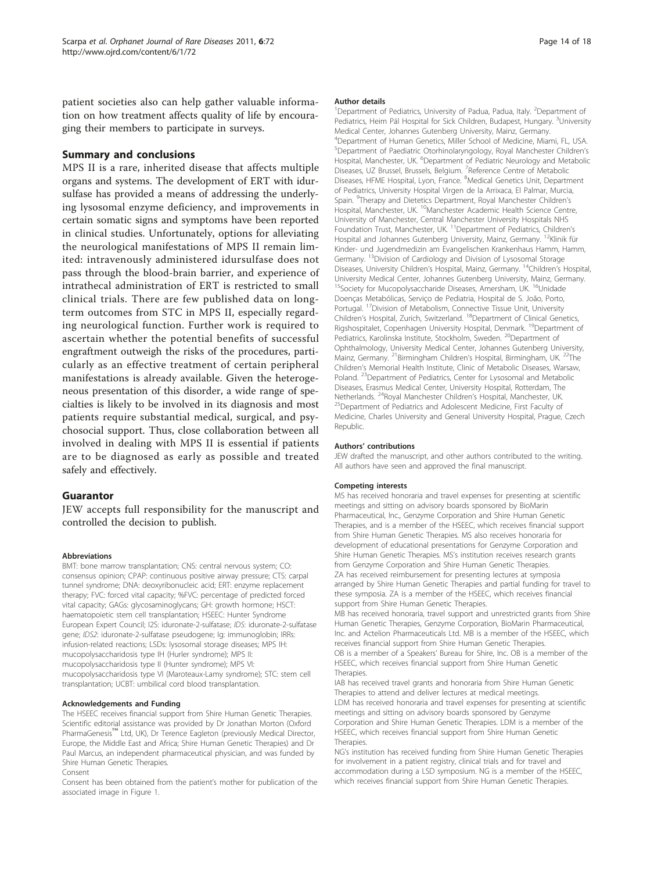patient societies also can help gather valuable information on how treatment affects quality of life by encouraging their members to participate in surveys.

# Summary and conclusions

MPS II is a rare, inherited disease that affects multiple organs and systems. The development of ERT with idursulfase has provided a means of addressing the underlying lysosomal enzyme deficiency, and improvements in certain somatic signs and symptoms have been reported in clinical studies. Unfortunately, options for alleviating the neurological manifestations of MPS II remain limited: intravenously administered idursulfase does not pass through the blood-brain barrier, and experience of intrathecal administration of ERT is restricted to small clinical trials. There are few published data on longterm outcomes from STC in MPS II, especially regarding neurological function. Further work is required to ascertain whether the potential benefits of successful engraftment outweigh the risks of the procedures, particularly as an effective treatment of certain peripheral manifestations is already available. Given the heterogeneous presentation of this disorder, a wide range of specialties is likely to be involved in its diagnosis and most patients require substantial medical, surgical, and psychosocial support. Thus, close collaboration between all involved in dealing with MPS II is essential if patients are to be diagnosed as early as possible and treated safely and effectively.

# Guarantor

JEW accepts full responsibility for the manuscript and controlled the decision to publish.

#### Abbreviations

BMT: bone marrow transplantation; CNS: central nervous system; CO: consensus opinion; CPAP: continuous positive airway pressure; CTS: carpal tunnel syndrome; DNA: deoxyribonucleic acid; ERT: enzyme replacement therapy; FVC: forced vital capacity; %FVC: percentage of predicted forced vital capacity; GAGs: glycosaminoglycans; GH: growth hormone; HSCT: haematopoietic stem cell transplantation; HSEEC: Hunter Syndrome European Expert Council; I2S: iduronate-2-sulfatase; IDS: iduronate-2-sulfatase gene; IDS2: iduronate-2-sulfatase pseudogene; Ig: immunoglobin; IRRs: infusion-related reactions; LSDs: lysosomal storage diseases; MPS IH: mucopolysaccharidosis type IH (Hurler syndrome); MPS II: mucopolysaccharidosis type II (Hunter syndrome); MPS VI: mucopolysaccharidosis type VI (Maroteaux-Lamy syndrome); STC: stem cell transplantation; UCBT: umbilical cord blood transplantation.

#### Acknowledgements and Funding

The HSEEC receives financial support from Shire Human Genetic Therapies. Scientific editorial assistance was provided by Dr Jonathan Morton (Oxford PharmaGenesis™ Ltd, UK), Dr Terence Eagleton (previously Medical Director, Europe, the Middle East and Africa; Shire Human Genetic Therapies) and Dr Paul Marcus, an independent pharmaceutical physician, and was funded by Shire Human Genetic Therapies.

#### Consent

Consent has been obtained from the patient's mother for publication of the associated image in Figure 1.

#### Author details

<sup>1</sup>Department of Pediatrics, University of Padua, Padua, Italy. <sup>2</sup>Department of Pediatrics, Heim Pál Hospital for Sick Children, Budapest, Hungary. <sup>3</sup>University Medical Center, Johannes Gutenberg University, Mainz, Germany. 4 Department of Human Genetics, Miller School of Medicine, Miami, FL, USA. 5 Department of Paediatric Otorhinolaryngology, Royal Manchester Children's Hospital, Manchester, UK. <sup>6</sup>Department of Pediatric Neurology and Metabolic Diseases, UZ Brussel, Brussels, Belgium. <sup>7</sup>Reference Centre of Metabolic Diseases, HFME Hospital, Lyon, France. <sup>8</sup>Medical Genetics Unit, Department of Pediatrics, University Hospital Virgen de la Arrixaca, El Palmar, Murcia, Spain. <sup>9</sup>Therapy and Dietetics Department, Royal Manchester Children's Hospital, Manchester, UK. 10Manchester Academic Health Science Centre, University of Manchester, Central Manchester University Hospitals NHS Foundation Trust, Manchester, UK.<sup>11</sup>Department of Pediatrics, Children's Hospital and Johannes Gutenberg University, Mainz, Germany. <sup>12</sup>Klinik für Kinder- und Jugendmedizin am Evangelischen Krankenhaus Hamm, Hamm, Germany. 13Division of Cardiology and Division of Lysosomal Storage Diseases, University Children's Hospital, Mainz, Germany. 14Children's Hospital, University Medical Center, Johannes Gutenberg University, Mainz, Germany. <sup>15</sup>Society for Mucopolysaccharide Diseases, Amersham, UK. <sup>16</sup>Unidade Doenças Metabólicas, Serviço de Pediatria, Hospital de S. João, Porto, Portugal. 17Division of Metabolism, Connective Tissue Unit, University Children's Hospital, Zurich, Switzerland. 18Department of Clinical Genetics, Rigshospitalet, Copenhagen University Hospital, Denmark. <sup>19</sup>Department of Pediatrics, Karolinska Institute, Stockholm, Sweden. <sup>20</sup>Department of Ophthalmology, University Medical Center, Johannes Gutenberg University, Mainz, Germany. <sup>21</sup>Birmingham Children's Hospital, Birmingham, UK. <sup>22</sup>The Children's Memorial Health Institute, Clinic of Metabolic Diseases, Warsaw, Poland. <sup>23</sup>Department of Pediatrics, Center for Lysosomal and Metabolic Diseases, Erasmus Medical Center, University Hospital, Rotterdam, The Netherlands. <sup>24</sup>Royal Manchester Children's Hospital, Manchester, UK.<br><sup>25</sup>Department of Pediatrics and Adolescent Medicine, First Faculty of Medicine, Charles University and General University Hospital, Prague, Czech Republic.

#### Authors' contributions

JEW drafted the manuscript, and other authors contributed to the writing. All authors have seen and approved the final manuscript.

#### Competing interests

MS has received honoraria and travel expenses for presenting at scientific meetings and sitting on advisory boards sponsored by BioMarin Pharmaceutical, Inc., Genzyme Corporation and Shire Human Genetic Therapies, and is a member of the HSEEC, which receives financial support from Shire Human Genetic Therapies. MS also receives honoraria for development of educational presentations for Genzyme Corporation and Shire Human Genetic Therapies. MS's institution receives research grants from Genzyme Corporation and Shire Human Genetic Therapies. ZA has received reimbursement for presenting lectures at symposia arranged by Shire Human Genetic Therapies and partial funding for travel to these symposia. ZA is a member of the HSEEC, which receives financial support from Shire Human Genetic Therapies.

MB has received honoraria, travel support and unrestricted grants from Shire Human Genetic Therapies, Genzyme Corporation, BioMarin Pharmaceutical, Inc. and Actelion Pharmaceuticals Ltd. MB is a member of the HSEEC, which receives financial support from Shire Human Genetic Therapies. OB is a member of a Speakers' Bureau for Shire, Inc. OB is a member of the HSEEC, which receives financial support from Shire Human Genetic **Therapies** 

IAB has received travel grants and honoraria from Shire Human Genetic Therapies to attend and deliver lectures at medical meetings. LDM has received honoraria and travel expenses for presenting at scientific meetings and sitting on advisory boards sponsored by Genzyme Corporation and Shire Human Genetic Therapies. LDM is a member of the HSEEC, which receives financial support from Shire Human Genetic Therapies.

NG's institution has received funding from Shire Human Genetic Therapies for involvement in a patient registry, clinical trials and for travel and accommodation during a LSD symposium. NG is a member of the HSEEC, which receives financial support from Shire Human Genetic Therapies.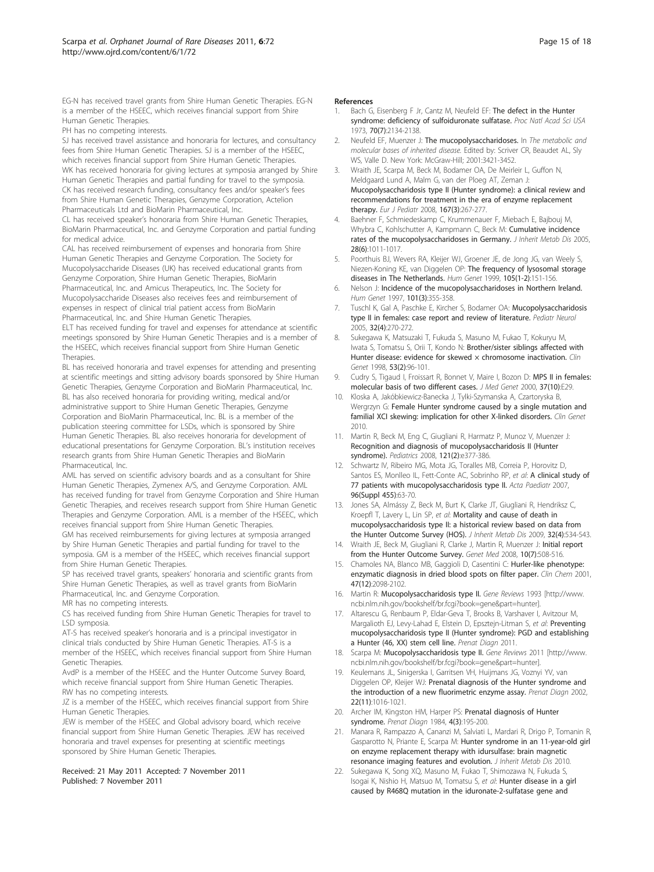<span id="page-14-0"></span>EG-N has received travel grants from Shire Human Genetic Therapies. EG-N is a member of the HSEEC, which receives financial support from Shire Human Genetic Therapies.

PH has no competing interests.

SJ has received travel assistance and honoraria for lectures, and consultancy fees from Shire Human Genetic Therapies. SJ is a member of the HSEEC, which receives financial support from Shire Human Genetic Therapies. WK has received honoraria for giving lectures at symposia arranged by Shire Human Genetic Therapies and partial funding for travel to the symposia. CK has received research funding, consultancy fees and/or speaker's fees from Shire Human Genetic Therapies, Genzyme Corporation, Actelion Pharmaceuticals Ltd and BioMarin Pharmaceutical, Inc.

CL has received speaker's honoraria from Shire Human Genetic Therapies, BioMarin Pharmaceutical, Inc. and Genzyme Corporation and partial funding for medical advice.

CAL has received reimbursement of expenses and honoraria from Shire Human Genetic Therapies and Genzyme Corporation. The Society for Mucopolysaccharide Diseases (UK) has received educational grants from Genzyme Corporation, Shire Human Genetic Therapies, BioMarin Pharmaceutical, Inc. and Amicus Therapeutics, Inc. The Society for Mucopolysaccharide Diseases also receives fees and reimbursement of expenses in respect of clinical trial patient access from BioMarin Pharmaceutical, Inc. and Shire Human Genetic Therapies.

ELT has received funding for travel and expenses for attendance at scientific meetings sponsored by Shire Human Genetic Therapies and is a member of the HSEEC, which receives financial support from Shire Human Genetic Therapies.

BL has received honoraria and travel expenses for attending and presenting at scientific meetings and sitting advisory boards sponsored by Shire Human Genetic Therapies, Genzyme Corporation and BioMarin Pharmaceutical, Inc. BL has also received honoraria for providing writing, medical and/or administrative support to Shire Human Genetic Therapies, Genzyme Corporation and BioMarin Pharmaceutical, Inc. BL is a member of the publication steering committee for LSDs, which is sponsored by Shire Human Genetic Therapies. BL also receives honoraria for development of educational presentations for Genzyme Corporation. BL's institution receives research grants from Shire Human Genetic Therapies and BioMarin Pharmaceutical, Inc.

AML has served on scientific advisory boards and as a consultant for Shire Human Genetic Therapies, Zymenex A/S, and Genzyme Corporation. AML has received funding for travel from Genzyme Corporation and Shire Human Genetic Therapies, and receives research support from Shire Human Genetic Therapies and Genzyme Corporation. AML is a member of the HSEEC, which receives financial support from Shire Human Genetic Therapies.

GM has received reimbursements for giving lectures at symposia arranged by Shire Human Genetic Therapies and partial funding for travel to the symposia. GM is a member of the HSEEC, which receives financial support from Shire Human Genetic Therapies.

SP has received travel grants, speakers' honoraria and scientific grants from Shire Human Genetic Therapies, as well as travel grants from BioMarin Pharmaceutical, Inc. and Genzyme Corporation.

MR has no competing interests.

CS has received funding from Shire Human Genetic Therapies for travel to LSD symposia.

AT-S has received speaker's honoraria and is a principal investigator in clinical trials conducted by Shire Human Genetic Therapies. AT-S is a member of the HSEEC, which receives financial support from Shire Human Genetic Therapies.

AvdP is a member of the HSEEC and the Hunter Outcome Survey Board, which receive financial support from Shire Human Genetic Therapies. RW has no competing interests.

JZ is a member of the HSEEC, which receives financial support from Shire Human Genetic Therapies.

JEW is member of the HSEEC and Global advisory board, which receive financial support from Shire Human Genetic Therapies. JEW has received honoraria and travel expenses for presenting at scientific meetings sponsored by Shire Human Genetic Therapies.

Received: 21 May 2011 Accepted: 7 November 2011 Published: 7 November 2011

#### References

- 1. Bach G, Eisenberg F Jr, Cantz M, Neufeld EF: [The defect in the Hunter](http://www.ncbi.nlm.nih.gov/pubmed/4269173?dopt=Abstract) [syndrome: deficiency of sulfoiduronate sulfatase.](http://www.ncbi.nlm.nih.gov/pubmed/4269173?dopt=Abstract) Proc Natl Acad Sci USA 1973, 70(7):2134-2138.
- 2. Neufeld EF, Muenzer J: The mucopolysaccharidoses. In The metabolic and molecular bases of inherited disease. Edited by: Scriver CR, Beaudet AL, Sly WS, Valle D. New York: McGraw-Hill; 2001:3421-3452.
- 3. Wraith JE, Scarpa M, Beck M, Bodamer OA, De Meirleir L, Guffon N, Meldgaard Lund A, Malm G, van der Ploeg AT, Zeman J: [Mucopolysaccharidosis type II \(Hunter syndrome\): a clinical review and](http://www.ncbi.nlm.nih.gov/pubmed/18038146?dopt=Abstract) [recommendations for treatment in the era of enzyme replacement](http://www.ncbi.nlm.nih.gov/pubmed/18038146?dopt=Abstract) [therapy.](http://www.ncbi.nlm.nih.gov/pubmed/18038146?dopt=Abstract) Eur J Pediatr 2008, 167(3):267-277.
- 4. Baehner F, Schmiedeskamp C, Krummenauer F, Miebach E, Bajbouj M, Whybra C, Kohlschutter A, Kampmann C, Beck M: [Cumulative incidence](http://www.ncbi.nlm.nih.gov/pubmed/16435194?dopt=Abstract) [rates of the mucopolysaccharidoses in Germany.](http://www.ncbi.nlm.nih.gov/pubmed/16435194?dopt=Abstract) J Inherit Metab Dis 2005, 28(6):1011-1017.
- 5. Poorthuis BJ, Wevers RA, Kleijer WJ, Groener JE, de Jong JG, van Weely S, Niezen-Koning KE, van Diggelen OP: [The frequency of lysosomal storage](http://www.ncbi.nlm.nih.gov/pubmed/10480370?dopt=Abstract) [diseases in The Netherlands.](http://www.ncbi.nlm.nih.gov/pubmed/10480370?dopt=Abstract) Hum Genet 1999, 105(1-2):151-156.
- 6. Nelson J: [Incidence of the mucopolysaccharidoses in Northern Ireland.](http://www.ncbi.nlm.nih.gov/pubmed/9439667?dopt=Abstract) Hum Genet 1997, 101(3):355-358.
- 7. Tuschl K, Gal A, Paschke E, Kircher S, Bodamer OA: [Mucopolysaccharidosis](http://www.ncbi.nlm.nih.gov/pubmed/15797184?dopt=Abstract) [type II in females: case report and review of literature.](http://www.ncbi.nlm.nih.gov/pubmed/15797184?dopt=Abstract) Pediatr Neurol 2005, 32(4):270-272.
- 8. Sukegawa K, Matsuzaki T, Fukuda S, Masuno M, Fukao T, Kokuryu M, Iwata S, Tomatsu S, Orii T, Kondo N: [Brother/sister siblings affected with](http://www.ncbi.nlm.nih.gov/pubmed/9611068?dopt=Abstract) Hunter disease: evidence for skewed  $\times$  chromosome inactivation. Clin Genet 1998, 53(2):96-101.
- 9. Cudry S, Tigaud I, Froissart R, Bonnet V, Maire I, Bozon D: [MPS II in females:](http://www.ncbi.nlm.nih.gov/pubmed/11015461?dopt=Abstract) [molecular basis of two different cases.](http://www.ncbi.nlm.nih.gov/pubmed/11015461?dopt=Abstract) J Med Genet 2000, 37(10):E29.
- 10. Kloska A, Jakóbkiewicz-Banecka J, Tylki-Szymanska A, Czartoryska B, Wergrzyn G: Female Hunter syndrome caused by a single mutation and familial XCI skewing: implication for other X-linked disorders. Clin Genet 2010.
- 11. Martin R, Beck M, Eng C, Giugliani R, Harmatz P, Munoz V, Muenzer J: [Recognition and diagnosis of mucopolysaccharidosis II \(Hunter](http://www.ncbi.nlm.nih.gov/pubmed/18245410?dopt=Abstract) [syndrome\).](http://www.ncbi.nlm.nih.gov/pubmed/18245410?dopt=Abstract) Pediatrics 2008, 121(2):e377-386.
- 12. Schwartz IV, Ribeiro MG, Mota JG, Toralles MB, Correia P, Horovitz D, Santos ES, Monlleo IL, Fett-Conte AC, Sobrinho RP, et al: A clinical study of 77 patients with mucopolysaccharidosis type II. Acta Paediatr 2007, 96(Suppl 455):63-70.
- 13. Jones SA, Almássy Z, Beck M, Burt K, Clarke JT, Giugliani R, Hendriksz C, Kroepfl T, Lavery L, Lin SP, et al: [Mortality and cause of death in](http://www.ncbi.nlm.nih.gov/pubmed/19597960?dopt=Abstract) [mucopolysaccharidosis type II: a historical review based on data from](http://www.ncbi.nlm.nih.gov/pubmed/19597960?dopt=Abstract) [the Hunter Outcome Survey \(HOS\).](http://www.ncbi.nlm.nih.gov/pubmed/19597960?dopt=Abstract) J Inherit Metab Dis 2009, 32(4):534-543.
- 14. Wraith JE, Beck M, Giugliani R, Clarke J, Martin R, Muenzer J: [Initial report](http://www.ncbi.nlm.nih.gov/pubmed/18580692?dopt=Abstract) [from the Hunter Outcome Survey.](http://www.ncbi.nlm.nih.gov/pubmed/18580692?dopt=Abstract) Genet Med 2008, 10(7):508-516.
- 15. Chamoles NA, Blanco MB, Gaggioli D, Casentini C: [Hurler-like phenotype:](http://www.ncbi.nlm.nih.gov/pubmed/11719472?dopt=Abstract) [enzymatic diagnosis in dried blood spots on filter paper.](http://www.ncbi.nlm.nih.gov/pubmed/11719472?dopt=Abstract) Clin Chem 2001, 47(12):2098-2102.
- 16. Martin R: Mucopolysaccharidosis type II. Gene Reviews 1993 [[http://www.](http://www.ncbi.nlm.nih.gov/bookshelf/br.fcgi?book=gene&part=hunter) [ncbi.nlm.nih.gov/bookshelf/br.fcgi?book=gene&part=hunter\]](http://www.ncbi.nlm.nih.gov/bookshelf/br.fcgi?book=gene&part=hunter).
- 17. Altarescu G, Renbaum P, Eldar-Geva T, Brooks B, Varshaver I, Avitzour M, Margalioth EJ, Levy-Lahad E, Elstein D, Epsztejn-Litman S, et al: Preventing mucopolysaccharidosis type II (Hunter syndrome): PGD and establishing a Hunter (46, XX) stem cell line. Prenat Diagn 2011.
- 18. Scarpa M: Mucopolysaccharidosis type II. Gene Reviews 2011 [\[http://www.](http://www.ncbi.nlm.nih.gov/bookshelf/br.fcgi?book=gene&part=hunter) [ncbi.nlm.nih.gov/bookshelf/br.fcgi?book=gene&part=hunter\]](http://www.ncbi.nlm.nih.gov/bookshelf/br.fcgi?book=gene&part=hunter).
- 19. Keulemans JL, Sinigerska I, Garritsen VH, Huijmans JG, Voznyi YV, van Diggelen OP, Kleijer WJ: [Prenatal diagnosis of the Hunter syndrome and](http://www.ncbi.nlm.nih.gov/pubmed/12424767?dopt=Abstract) [the introduction of a new fluorimetric enzyme assay.](http://www.ncbi.nlm.nih.gov/pubmed/12424767?dopt=Abstract) Prenat Diagn 2002, 22(11):1016-1021.
- 20. Archer IM, Kingston HM, Harper PS: [Prenatal diagnosis of Hunter](http://www.ncbi.nlm.nih.gov/pubmed/6431402?dopt=Abstract) [syndrome.](http://www.ncbi.nlm.nih.gov/pubmed/6431402?dopt=Abstract) Prenat Diagn 1984, 4(3):195-200.
- 21. Manara R, Rampazzo A, Cananzi M, Salviati L, Mardari R, Drigo P, Tomanin R, Gasparotto N, Priante E, Scarpa M: Hunter syndrome in an 11-year-old girl on enzyme replacement therapy with idursulfase: brain magnetic resonance imaging features and evolution. J Inherit Metab Dis 2010.
- 22. Sukegawa K, Song XQ, Masuno M, Fukao T, Shimozawa N, Fukuda S, Isogai K, Nishio H, Matsuo M, Tomatsu S, et al: [Hunter disease in a girl](http://www.ncbi.nlm.nih.gov/pubmed/9375851?dopt=Abstract) [caused by R468Q mutation in the iduronate-2-sulfatase gene and](http://www.ncbi.nlm.nih.gov/pubmed/9375851?dopt=Abstract)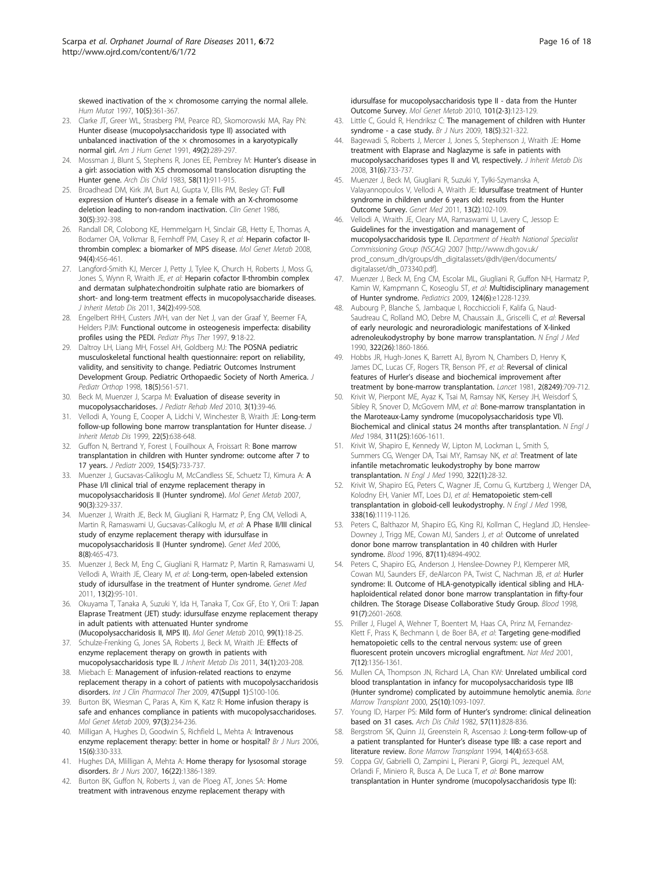<span id="page-15-0"></span>skewed inactivation of the  $\times$  chromosome carrying the normal allele. Hum Mutat 1997, 10(5):361-367.

- 23. Clarke JT, Greer WL, Strasberg PM, Pearce RD, Skomorowski MA, Ray PN: [Hunter disease \(mucopolysaccharidosis type II\) associated with](http://www.ncbi.nlm.nih.gov/pubmed/1678247?dopt=Abstract) unbalanced inactivation of the  $\times$  chromosomes in a karyotypically [normal girl.](http://www.ncbi.nlm.nih.gov/pubmed/1678247?dopt=Abstract) Am J Hum Genet 1991, 49(2):289-297.
- 24. Mossman J, Blunt S, Stephens R, Jones EE, Pembrey M: Hunter'[s disease in](http://www.ncbi.nlm.nih.gov/pubmed/6418082?dopt=Abstract) [a girl: association with X:5 chromosomal translocation disrupting the](http://www.ncbi.nlm.nih.gov/pubmed/6418082?dopt=Abstract) [Hunter gene.](http://www.ncbi.nlm.nih.gov/pubmed/6418082?dopt=Abstract) Arch Dis Child 1983, 58(11):911-915.
- 25. Broadhead DM, Kirk JM, Burt AJ, Gupta V, Ellis PM, Besley GT: [Full](http://www.ncbi.nlm.nih.gov/pubmed/3100113?dopt=Abstract) expression of Hunter'[s disease in a female with an X-chromosome](http://www.ncbi.nlm.nih.gov/pubmed/3100113?dopt=Abstract) [deletion leading to non-random inactivation.](http://www.ncbi.nlm.nih.gov/pubmed/3100113?dopt=Abstract) Clin Genet 1986, 30(5):392-398.
- 26. Randall DR, Colobong KE, Hemmelgarn H, Sinclair GB, Hetty E, Thomas A, Bodamer OA, Volkmar B, Fernhoff PM, Casey R, et al: [Heparin cofactor II](http://www.ncbi.nlm.nih.gov/pubmed/18511319?dopt=Abstract)[thrombin complex: a biomarker of MPS disease.](http://www.ncbi.nlm.nih.gov/pubmed/18511319?dopt=Abstract) Mol Genet Metab 2008, 94(4):456-461.
- 27. Langford-Smith KJ, Mercer J, Petty J, Tylee K, Church H, Roberts J, Moss G, Jones S, Wynn R, Wraith JE, et al: [Heparin cofactor II-thrombin complex](http://www.ncbi.nlm.nih.gov/pubmed/21170681?dopt=Abstract) [and dermatan sulphate:chondroitin sulphate ratio are biomarkers of](http://www.ncbi.nlm.nih.gov/pubmed/21170681?dopt=Abstract) [short- and long-term treatment effects in mucopolysaccharide diseases.](http://www.ncbi.nlm.nih.gov/pubmed/21170681?dopt=Abstract) J Inherit Metab Dis 2011, 34(2):499-508.
- 28. Engelbert RHH, Custers JWH, van der Net J, van der Graaf Y, Beemer FA, Helders PJM: Functional outcome in osteogenesis imperfecta: disability profiles using the PEDI. Pediatr Phys Ther 1997, 9:18-22.
- 29. Daltroy LH, Liang MH, Fossel AH, Goldberg MJ: [The POSNA pediatric](http://www.ncbi.nlm.nih.gov/pubmed/9746401?dopt=Abstract) [musculoskeletal functional health questionnaire: report on reliability,](http://www.ncbi.nlm.nih.gov/pubmed/9746401?dopt=Abstract) [validity, and sensitivity to change. Pediatric Outcomes Instrument](http://www.ncbi.nlm.nih.gov/pubmed/9746401?dopt=Abstract) [Development Group. Pediatric Orthopaedic Society of North America.](http://www.ncbi.nlm.nih.gov/pubmed/9746401?dopt=Abstract) J Pediatr Orthop 1998, 18(5):561-571.
- 30. Beck M, Muenzer J, Scarpa M: Evaluation of disease severity in mucopolysaccharidoses. J Pediatr Rehab Med 2010, 3(1):39-46.
- 31. Vellodi A, Young E, Cooper A, Lidchi V, Winchester B, Wraith JE: [Long-term](http://www.ncbi.nlm.nih.gov/pubmed/10399096?dopt=Abstract) [follow-up following bone marrow transplantation for Hunter disease.](http://www.ncbi.nlm.nih.gov/pubmed/10399096?dopt=Abstract) J Inherit Metab Dis 1999, 22(5):638-648.
- 32. Guffon N, Bertrand Y, Forest I, Fouilhoux A, Froissart R: [Bone marrow](http://www.ncbi.nlm.nih.gov/pubmed/19167723?dopt=Abstract) [transplantation in children with Hunter syndrome: outcome after 7 to](http://www.ncbi.nlm.nih.gov/pubmed/19167723?dopt=Abstract) [17 years.](http://www.ncbi.nlm.nih.gov/pubmed/19167723?dopt=Abstract) J Pediatr 2009, 154(5):733-737.
- 33. Muenzer J, Gucsavas-Calikoglu M, McCandless SE, Schuetz TJ, Kimura [A](http://www.ncbi.nlm.nih.gov/pubmed/17185020?dopt=Abstract): A [Phase I/II clinical trial of enzyme replacement therapy in](http://www.ncbi.nlm.nih.gov/pubmed/17185020?dopt=Abstract) [mucopolysaccharidosis II \(Hunter syndrome\).](http://www.ncbi.nlm.nih.gov/pubmed/17185020?dopt=Abstract) Mol Genet Metab 2007, 90(3):329-337.
- 34. Muenzer J, Wraith JE, Beck M, Giugliani R, Harmatz P, Eng CM, Vellodi A, Martin R, Ramaswami U, Gucsavas-Calikoglu M, et al: [A Phase II/III clinical](http://www.ncbi.nlm.nih.gov/pubmed/16912578?dopt=Abstract) [study of enzyme replacement therapy with idursulfase in](http://www.ncbi.nlm.nih.gov/pubmed/16912578?dopt=Abstract) [mucopolysaccharidosis](http://www.ncbi.nlm.nih.gov/pubmed/16912578?dopt=Abstract) II (Hunter syndrome). Genet Med 2006, 8(8):465-473.
- 35. Muenzer J, Beck M, Eng C, Giugliani R, Harmatz P, Martin R, Ramaswami U, Vellodi A, Wraith JE, Cleary M, et al: [Long-term, open-labeled extension](http://www.ncbi.nlm.nih.gov/pubmed/21150784?dopt=Abstract) [study of idursulfase in the treatment of Hunter syndrome.](http://www.ncbi.nlm.nih.gov/pubmed/21150784?dopt=Abstract) Genet Med 2011, 13(2):95-101.
- 36. Okuyama T, Tanaka A, Suzuki Y, Ida H, Tanaka T, Cox GF, Eto Y, Orii T: [Japan](http://www.ncbi.nlm.nih.gov/pubmed/19773189?dopt=Abstract) [Elaprase Treatment \(JET\) study: idursulfase enzyme replacement therapy](http://www.ncbi.nlm.nih.gov/pubmed/19773189?dopt=Abstract) [in adult patients with attenuated Hunter syndrome](http://www.ncbi.nlm.nih.gov/pubmed/19773189?dopt=Abstract) [\(Mucopolysaccharidosis II, MPS II\).](http://www.ncbi.nlm.nih.gov/pubmed/19773189?dopt=Abstract) Mol Genet Metab 2010, 99(1):18-25.
- 37. Schulze-Frenking G, Jones SA, Roberts J, Beck M, Wraith JE: [Effects of](http://www.ncbi.nlm.nih.gov/pubmed/20978944?dopt=Abstract) [enzyme replacement therapy on growth in patients with](http://www.ncbi.nlm.nih.gov/pubmed/20978944?dopt=Abstract) [mucopolysaccharidosis type II.](http://www.ncbi.nlm.nih.gov/pubmed/20978944?dopt=Abstract) J Inherit Metab Dis 2011, 34(1):203-208.
- 38. Miebach E: [Management of infusion-related reactions to enzyme](http://www.ncbi.nlm.nih.gov/pubmed/20040319?dopt=Abstract) [replacement therapy in a cohort of patients with mucopolysaccharidosis](http://www.ncbi.nlm.nih.gov/pubmed/20040319?dopt=Abstract) [disorders.](http://www.ncbi.nlm.nih.gov/pubmed/20040319?dopt=Abstract) Int J Clin Pharmacol Ther 2009, 47(Suppl 1):S100-106.
- 39. Burton BK, Wiesman C, Paras A, Kim K, Katz R: [Home infusion therapy is](http://www.ncbi.nlm.nih.gov/pubmed/19427803?dopt=Abstract) [safe and enhances compliance in patients with mucopolysaccharidoses.](http://www.ncbi.nlm.nih.gov/pubmed/19427803?dopt=Abstract) Mol Genet Metab 2009, 97(3):234-236.
- 40. Milligan A, Hughes D, Goodwin S, Richfield L, Mehta A: [Intravenous](http://www.ncbi.nlm.nih.gov/pubmed/16628169?dopt=Abstract) [enzyme replacement therapy: better in home or hospital?](http://www.ncbi.nlm.nih.gov/pubmed/16628169?dopt=Abstract) Br J Nurs 2006, 15(6):330-333.
- 41. Hughes DA, Mlilligan A, Mehta A: Home therapy for lysosomal storage disorders. Br J Nurs 2007, 16(22):1386-1389.
- 42. Burton BK, Guffon N, Roberts J, van de Ploeg AT, Jones SA: [Home](http://www.ncbi.nlm.nih.gov/pubmed/20638311?dopt=Abstract) [treatment with intravenous enzyme replacement therapy with](http://www.ncbi.nlm.nih.gov/pubmed/20638311?dopt=Abstract)

[idursulfase for mucopolysaccharidosis type II - data from the Hunter](http://www.ncbi.nlm.nih.gov/pubmed/20638311?dopt=Abstract) [Outcome Survey.](http://www.ncbi.nlm.nih.gov/pubmed/20638311?dopt=Abstract) Mol Genet Metab 2010, 101(2-3):123-129.

- 43. Little C, Gould R, Hendriksz C: [The management of children with Hunter](http://www.ncbi.nlm.nih.gov/pubmed/19273994?dopt=Abstract) [syndrome - a case study.](http://www.ncbi.nlm.nih.gov/pubmed/19273994?dopt=Abstract) Br J Nurs 2009, 18(5):321-322.
- 44. Bagewadi S, Roberts J, Mercer J, Jones S, Stephenson J, Wraith JE: [Home](http://www.ncbi.nlm.nih.gov/pubmed/18923918?dopt=Abstract) [treatment with Elaprase and Naglazyme is safe in patients with](http://www.ncbi.nlm.nih.gov/pubmed/18923918?dopt=Abstract) [mucopolysaccharidoses types II and VI, respectively.](http://www.ncbi.nlm.nih.gov/pubmed/18923918?dopt=Abstract) J Inherit Metab Dis 2008, 31(6):733-737.
- 45. Muenzer J, Beck M, Giugliani R, Suzuki Y, Tylki-Szymanska A, Valayannopoulos V, Vellodi A, Wraith JE: [Idursulfase treatment of Hunter](http://www.ncbi.nlm.nih.gov/pubmed/21233716?dopt=Abstract) [syndrome in children under 6 years old: results from the Hunter](http://www.ncbi.nlm.nih.gov/pubmed/21233716?dopt=Abstract) [Outcome Survey.](http://www.ncbi.nlm.nih.gov/pubmed/21233716?dopt=Abstract) Genet Med 2011, 13(2):102-109.
- Vellodi A, Wraith JE, Cleary MA, Ramaswami U, Lavery C, Jessop E: Guidelines for the investigation and management of mucopolysaccharidosis type II. Department of Health National Specialist Commissioning Group (NSCAG) 2007 [\[http://www.dh.gov.uk/](http://www.dh.gov.uk/prod_consum_dh/groups/dh_digitalassets/@dh/@en/documents/digitalasset/dh_073340.pdf) [prod\\_consum\\_dh/groups/dh\\_digitalassets/@dh/@en/documents/](http://www.dh.gov.uk/prod_consum_dh/groups/dh_digitalassets/@dh/@en/documents/digitalasset/dh_073340.pdf) [digitalasset/dh\\_073340.pdf\]](http://www.dh.gov.uk/prod_consum_dh/groups/dh_digitalassets/@dh/@en/documents/digitalasset/dh_073340.pdf).
- Muenzer J, Beck M, Eng CM, Escolar ML, Giugliani R, Guffon NH, Harmatz P, Kamin W, Kampmann C, Koseoglu ST, et al: [Multidisciplinary](http://www.ncbi.nlm.nih.gov/pubmed/19901005?dopt=Abstract) management [of Hunter syndrome.](http://www.ncbi.nlm.nih.gov/pubmed/19901005?dopt=Abstract) Pediatrics 2009, 124(6):e1228-1239.
- Aubourg P, Blanche S, Jambaque I, Rocchiccioli F, Kalifa G, Naud-Saudreau C, Rolland MO, Debre M, Chaussain JL, Griscelli C, et al: [Reversal](http://www.ncbi.nlm.nih.gov/pubmed/2348839?dopt=Abstract) [of early neurologic and neuroradiologic manifestations of X-linked](http://www.ncbi.nlm.nih.gov/pubmed/2348839?dopt=Abstract) [adrenoleukodystrophy by bone marrow transplantation.](http://www.ncbi.nlm.nih.gov/pubmed/2348839?dopt=Abstract) N Engl J Med 1990, 322(26):1860-1866.
- 49. Hobbs JR, Hugh-Jones K, Barrett AJ, Byrom N, Chambers D, Henry K, James DC, Lucas CF, Rogers TR, Benson PF, et al: [Reversal of clinical](http://www.ncbi.nlm.nih.gov/pubmed/6116856?dopt=Abstract) features of Hurler'[s disease and biochemical improvement after](http://www.ncbi.nlm.nih.gov/pubmed/6116856?dopt=Abstract) [treatment by bone-marrow transplantation.](http://www.ncbi.nlm.nih.gov/pubmed/6116856?dopt=Abstract) Lancet 1981, 2(8249):709-712.
- 50. Krivit W, Pierpont ME, Ayaz K, Tsai M, Ramsay NK, Kersey JH, Weisdorf S, Sibley R, Snover D, McGovern MM, et al: [Bone-marrow transplantation in](http://www.ncbi.nlm.nih.gov/pubmed/6150438?dopt=Abstract) [the Maroteaux-Lamy syndrome \(mucopolysaccharidosis type VI\).](http://www.ncbi.nlm.nih.gov/pubmed/6150438?dopt=Abstract) [Biochemical and clinical status 24 months after transplantation.](http://www.ncbi.nlm.nih.gov/pubmed/6150438?dopt=Abstract) N Engl J Med 1984, 311(25):1606-1611.
- 51. Krivit W, Shapiro E, Kennedy W, Lipton M, Lockman L, Smith S, Summers CG, Wenger DA, Tsai MY, Ramsay NK, et al: [Treatment of late](http://www.ncbi.nlm.nih.gov/pubmed/1967188?dopt=Abstract) [infantile metachromatic leukodystrophy by bone marrow](http://www.ncbi.nlm.nih.gov/pubmed/1967188?dopt=Abstract) [transplantation.](http://www.ncbi.nlm.nih.gov/pubmed/1967188?dopt=Abstract) N Engl J Med 1990, 322(1):28-32.
- 52. Krivit W, Shapiro EG, Peters C, Wagner JE, Cornu G, Kurtzberg J, Wenger DA, Kolodny EH, Vanier MT, Loes DJ, et al: [Hematopoietic stem-cell](http://www.ncbi.nlm.nih.gov/pubmed/9545360?dopt=Abstract) [transplantation in globoid-cell leukodystrophy.](http://www.ncbi.nlm.nih.gov/pubmed/9545360?dopt=Abstract) N Engl J Med 1998, 338(16):1119-1126.
- 53. Peters C, Balthazor M, Shapiro EG, King RJ, Kollman C, Hegland JD, Henslee-Downey J, Trigg ME, Cowan MJ, Sanders J, et al: [Outcome of unrelated](http://www.ncbi.nlm.nih.gov/pubmed/8639864?dopt=Abstract) [donor bone marrow transplantation in 40 children with Hurler](http://www.ncbi.nlm.nih.gov/pubmed/8639864?dopt=Abstract) [syndrome.](http://www.ncbi.nlm.nih.gov/pubmed/8639864?dopt=Abstract) Blood 1996, 87(11):4894-4902.
- 54. Peters C, Shapiro EG, Anderson J, Henslee-Downey PJ, Klemperer MR, Cowan MJ, Saunders EF, deAlarcon PA, Twist C, Nachman JB, et al: [Hurler](http://www.ncbi.nlm.nih.gov/pubmed/9516162?dopt=Abstract) [syndrome: II. Outcome of HLA-genotypically identical sibling and HLA](http://www.ncbi.nlm.nih.gov/pubmed/9516162?dopt=Abstract)[haploidentical related donor bone marrow transplantation in fifty-four](http://www.ncbi.nlm.nih.gov/pubmed/9516162?dopt=Abstract) [children. The Storage Disease Collaborative Study Group.](http://www.ncbi.nlm.nih.gov/pubmed/9516162?dopt=Abstract) Blood 1998, 91(7):2601-2608.
- 55. Priller J, Flugel A, Wehner T, Boentert M, Haas CA, Prinz M, Fernandez-Klett F, Prass K, Bechmann I, de Boer BA, et al: [Targeting gene-modified](http://www.ncbi.nlm.nih.gov/pubmed/11726978?dopt=Abstract) [hematopoietic cells to the central nervous system: use of green](http://www.ncbi.nlm.nih.gov/pubmed/11726978?dopt=Abstract) [fluorescent protein uncovers microglial engraftment.](http://www.ncbi.nlm.nih.gov/pubmed/11726978?dopt=Abstract) Nat Med 2001, 7(12):1356-1361.
- 56. Mullen CA, Thompson JN, Richard LA, Chan KW: [Unrelated umbilical cord](http://www.ncbi.nlm.nih.gov/pubmed/10828871?dopt=Abstract) [blood transplantation in infancy for mucopolysaccharidosis type IIB](http://www.ncbi.nlm.nih.gov/pubmed/10828871?dopt=Abstract) [\(Hunter syndrome\) complicated by autoimmune hemolytic anemia.](http://www.ncbi.nlm.nih.gov/pubmed/10828871?dopt=Abstract) Bone Marrow Transplant 2000, 25(10):1093-1097.
- 57. Young ID, Harper PS: Mild form of Hunter'[s syndrome: clinical delineation](http://www.ncbi.nlm.nih.gov/pubmed/6816147?dopt=Abstract) [based on 31 cases.](http://www.ncbi.nlm.nih.gov/pubmed/6816147?dopt=Abstract) Arch Dis Child 1982, 57(11):828-836.
- 58. Bergstrom SK, Quinn JJ, Greenstein R, Ascensao J: [Long-term follow-up of](http://www.ncbi.nlm.nih.gov/pubmed/7858546?dopt=Abstract) a patient transplanted for Hunter'[s disease type IIB: a case report and](http://www.ncbi.nlm.nih.gov/pubmed/7858546?dopt=Abstract) [literature review.](http://www.ncbi.nlm.nih.gov/pubmed/7858546?dopt=Abstract) Bone Marrow Transplant 1994, 14(4):653-658.
- 59. Coppa GV, Gabrielli O, Zampini L, Pierani P, Giorgi PL, Jezequel AM, Orlandi F, Miniero R, Busca A, De Luca T, et al: [Bone marrow](http://www.ncbi.nlm.nih.gov/pubmed/7567644?dopt=Abstract) [transplantation in Hunter syndrome \(mucopolysaccharidosis type II\):](http://www.ncbi.nlm.nih.gov/pubmed/7567644?dopt=Abstract)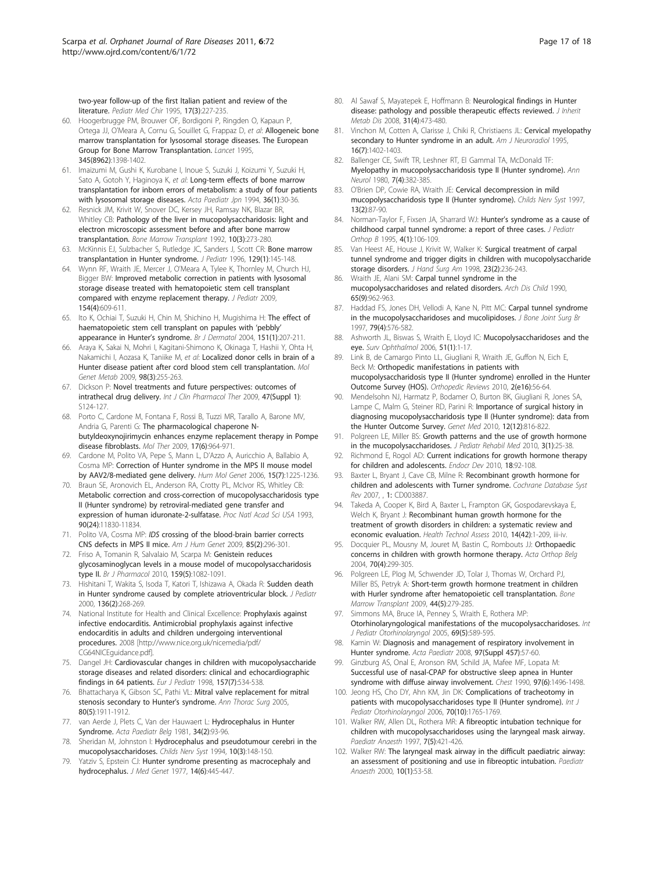<span id="page-16-0"></span>[two-year follow-up of the first Italian patient and review of the](http://www.ncbi.nlm.nih.gov/pubmed/7567644?dopt=Abstract) [literature.](http://www.ncbi.nlm.nih.gov/pubmed/7567644?dopt=Abstract) Pediatr Med Chir 1995, 17(3):227-235.

- 60. Hoogerbrugge PM, Brouwer OF, Bordigoni P, Ringden O, Kapaun P, Ortega JJ, O'Meara A, Cornu G, Souillet G, Frappaz D, et al: [Allogeneic bone](http://www.ncbi.nlm.nih.gov/pubmed/7760610?dopt=Abstract) [marrow transplantation for lysosomal storage diseases. The European](http://www.ncbi.nlm.nih.gov/pubmed/7760610?dopt=Abstract) [Group for Bone Marrow Transplantation.](http://www.ncbi.nlm.nih.gov/pubmed/7760610?dopt=Abstract) Lancet 1995, 345(8962):1398-1402.
- 61. Imaizumi M, Gushi K, Kurobane I, Inoue S, Suzuki J, Koizumi Y, Suzuki H, Sato A, Gotoh Y, Haginoya K, et al: [Long-term effects of bone marrow](http://www.ncbi.nlm.nih.gov/pubmed/8165905?dopt=Abstract) [transplantation for inborn errors of metabolism: a study of four patients](http://www.ncbi.nlm.nih.gov/pubmed/8165905?dopt=Abstract) [with lysosomal storage diseases.](http://www.ncbi.nlm.nih.gov/pubmed/8165905?dopt=Abstract) Acta Paediatr Jpn 1994, 36(1):30-36.
- 62. Resnick JM, Krivit W, Snover DC, Kersey JH, Ramsay NK, Blazar BR, Whitley CB: [Pathology of the liver in mucopolysaccharidosis: light and](http://www.ncbi.nlm.nih.gov/pubmed/1330150?dopt=Abstract) [electron microscopic assessment before and after bone marrow](http://www.ncbi.nlm.nih.gov/pubmed/1330150?dopt=Abstract) [transplantation.](http://www.ncbi.nlm.nih.gov/pubmed/1330150?dopt=Abstract) Bone Marrow Transplant 1992, 10(3):273-280.
- 63. McKinnis EJ, Sulzbacher S, Rutledge JC, Sanders J, Scott CR: [Bone marrow](http://www.ncbi.nlm.nih.gov/pubmed/8757575?dopt=Abstract) [transplantation in Hunter syndrome.](http://www.ncbi.nlm.nih.gov/pubmed/8757575?dopt=Abstract) J Pediatr 1996, 129(1):145-148.
- 64. Wynn RF, Wraith JE, Mercer J, O'Meara A, Tylee K, Thornley M, Church HJ, Bigger BW: [Improved metabolic correction in patients with lysosomal](http://www.ncbi.nlm.nih.gov/pubmed/19324223?dopt=Abstract) [storage disease treated with hematopoietic stem cell transplant](http://www.ncbi.nlm.nih.gov/pubmed/19324223?dopt=Abstract) [compared with enzyme replacement therapy.](http://www.ncbi.nlm.nih.gov/pubmed/19324223?dopt=Abstract) J Pediatr 2009, 154(4):609-611.
- 65. Ito K, Ochiai T, Suzuki H, Chin M, Shichino H, Mugishima H: [The effect of](http://www.ncbi.nlm.nih.gov/pubmed/15270893?dopt=Abstract) [haematopoietic stem cell transplant on papules with](http://www.ncbi.nlm.nih.gov/pubmed/15270893?dopt=Abstract) 'pebbly' [appearance in Hunter](http://www.ncbi.nlm.nih.gov/pubmed/15270893?dopt=Abstract)'s syndrome. Br J Dermatol 2004, 151(1):207-211.
- 66. Araya K, Sakai N, Mohri I, Kagitani-Shimono K, Okinaga T, Hashii Y, Ohta H, Nakamichi I, Aozasa K, Taniike M, et al: [Localized donor cells in brain of a](http://www.ncbi.nlm.nih.gov/pubmed/19556155?dopt=Abstract) [Hunter disease patient after cord blood stem cell transplantation.](http://www.ncbi.nlm.nih.gov/pubmed/19556155?dopt=Abstract) Mol Genet Metab 2009, 98(3):255-263.
- 67. Dickson P: [Novel treatments and future perspectives: outcomes of](http://www.ncbi.nlm.nih.gov/pubmed/20040323?dopt=Abstract) [intrathecal drug delivery.](http://www.ncbi.nlm.nih.gov/pubmed/20040323?dopt=Abstract) Int J Clin Pharmacol Ther 2009, 47(Suppl 1): S124-127.
- 68. Porto C, Cardone M, Fontana F, Rossi B, Tuzzi MR, Tarallo A, Barone MV, Andria G, Parenti G: [The pharmacological chaperone N](http://www.ncbi.nlm.nih.gov/pubmed/19293774?dopt=Abstract)[butyldeoxynojirimycin enhances enzyme replacement therapy in Pompe](http://www.ncbi.nlm.nih.gov/pubmed/19293774?dopt=Abstract) [disease fibroblasts.](http://www.ncbi.nlm.nih.gov/pubmed/19293774?dopt=Abstract) Mol Ther 2009, 17(6):964-971.
- 69. Cardone M, Polito VA, Pepe S, Mann L, D'Azzo A, Auricchio A, Ballabio A, Cosma MP: [Correction of Hunter syndrome in the MPS II mouse model](http://www.ncbi.nlm.nih.gov/pubmed/16505002?dopt=Abstract) [by AAV2/8-mediated gene delivery.](http://www.ncbi.nlm.nih.gov/pubmed/16505002?dopt=Abstract) Hum Mol Genet 2006, 15(7):1225-1236.
- 70. Braun SE, Aronovich EL, Anderson RA, Crotty PL, McIvor RS, Whitley CB: [Metabolic correction and cross-correction of mucopolysaccharidosis type](http://www.ncbi.nlm.nih.gov/pubmed/8265633?dopt=Abstract) [II \(Hunter syndrome\) by retroviral-mediated gene transfer and](http://www.ncbi.nlm.nih.gov/pubmed/8265633?dopt=Abstract) [expression of human iduronate-2-sulfatase.](http://www.ncbi.nlm.nih.gov/pubmed/8265633?dopt=Abstract) Proc Natl Acad Sci USA 1993, 90(24):11830-11834.
- 71. Polito VA, Cosma MP: IDS [crossing of the blood-brain barrier corrects](http://www.ncbi.nlm.nih.gov/pubmed/19679226?dopt=Abstract) [CNS defects in MPS II mice.](http://www.ncbi.nlm.nih.gov/pubmed/19679226?dopt=Abstract) Am J Hum Genet 2009, 85(2):296-301.
- 72. Friso A, Tomanin R, Salvalaio M, Scarpa M: [Genistein reduces](http://www.ncbi.nlm.nih.gov/pubmed/20136838?dopt=Abstract) [glycosaminoglycan levels in a mouse model of mucopolysaccharidosis](http://www.ncbi.nlm.nih.gov/pubmed/20136838?dopt=Abstract) [type II.](http://www.ncbi.nlm.nih.gov/pubmed/20136838?dopt=Abstract) Br J Pharmacol 2010, 159(5):1082-1091.
- 73. Hishitani T, Wakita S, Isoda T, Katori T, Ishizawa A, Okada R: [Sudden death](http://www.ncbi.nlm.nih.gov/pubmed/10657841?dopt=Abstract) [in Hunter syndrome caused by complete atrioventricular block.](http://www.ncbi.nlm.nih.gov/pubmed/10657841?dopt=Abstract) J Pediatr 2000, 136(2):268-269.
- 74. National Institute for Health and Clinical Excellence: Prophylaxis against infective endocarditis. Antimicrobial prophylaxis against infective endocarditis in adults and children undergoing interventional procedures. 2008 [[http://www.nice.org.uk/nicemedia/pdf/](http://www.nice.org.uk/nicemedia/pdf/CG64NICEguidance.pdf) [CG64NICEguidance.pdf](http://www.nice.org.uk/nicemedia/pdf/CG64NICEguidance.pdf)].
- 75. Dangel JH: [Cardiovascular changes in children with mucopolysaccharide](http://www.ncbi.nlm.nih.gov/pubmed/9686810?dopt=Abstract) [storage diseases and related disorders: clinical and echocardiographic](http://www.ncbi.nlm.nih.gov/pubmed/9686810?dopt=Abstract) [findings in 64 patients.](http://www.ncbi.nlm.nih.gov/pubmed/9686810?dopt=Abstract) Eur J Pediatr 1998, 157(7):534-538.
- 76. Bhattacharya K, Gibson SC, Pathi VL: [Mitral valve replacement for mitral](http://www.ncbi.nlm.nih.gov/pubmed/16242483?dopt=Abstract) [stenosis secondary to Hunter](http://www.ncbi.nlm.nih.gov/pubmed/16242483?dopt=Abstract)'s syndrome. Ann Thorac Surg 2005, 80(5):1911-1912.
- 77. van Aerde J, Plets C, Van der Hauwaert L: [Hydrocephalus in Hunter](http://www.ncbi.nlm.nih.gov/pubmed/6801919?dopt=Abstract) [Syndrome.](http://www.ncbi.nlm.nih.gov/pubmed/6801919?dopt=Abstract) Acta Paediatr Belg 1981, 34(2):93-96.
- 78. Sheridan M, Johnston I: [Hydrocephalus and pseudotumour cerebri in the](http://www.ncbi.nlm.nih.gov/pubmed/8044807?dopt=Abstract) [mucopolysaccharidoses.](http://www.ncbi.nlm.nih.gov/pubmed/8044807?dopt=Abstract) Childs Nerv Syst 1994, 10(3):148-150.
- 79. Yatziv S, Epstein CJ: [Hunter syndrome presenting as macrocephaly and](http://www.ncbi.nlm.nih.gov/pubmed/146740?dopt=Abstract) [hydrocephalus.](http://www.ncbi.nlm.nih.gov/pubmed/146740?dopt=Abstract) J Med Genet 1977, 14(6):445-447.
- 80. Al Sawaf S, Mayatepek E, Hoffmann B: [Neurological findings in Hunter](http://www.ncbi.nlm.nih.gov/pubmed/18618289?dopt=Abstract) [disease: pathology and possible therapeutic effects reviewed.](http://www.ncbi.nlm.nih.gov/pubmed/18618289?dopt=Abstract) J Inherit Metab Dis 2008, 31(4):473-480.
- 81. Vinchon M, Cotten A, Clarisse J, Chiki R, Christiaens JL: [Cervical myelopathy](http://www.ncbi.nlm.nih.gov/pubmed/7484623?dopt=Abstract) [secondary to Hunter syndrome in an adult.](http://www.ncbi.nlm.nih.gov/pubmed/7484623?dopt=Abstract) Am J Neuroradiol 1995, 16(7):1402-1403.
- 82. Ballenger CE, Swift TR, Leshner RT, El Gammal TA, McDonald TF: [Myelopathy in mucopolysaccharidosis type II \(Hunter syndrome\).](http://www.ncbi.nlm.nih.gov/pubmed/6769383?dopt=Abstract) Ann Neurol 1980, 7(4):382-385.
- 83. O'Brien DP, Cowie RA, Wraith JE: [Cervical decompression in mild](http://www.ncbi.nlm.nih.gov/pubmed/9105743?dopt=Abstract) [mucopolysaccharidosis type II \(Hunter syndrome\).](http://www.ncbi.nlm.nih.gov/pubmed/9105743?dopt=Abstract) Childs Nerv Syst 1997, 13(2):87-90.
- 84. Norman-Taylor F, Fixsen JA, Sharrard WJ: Hunter'[s syndrome as a cause of](http://www.ncbi.nlm.nih.gov/pubmed/7719824?dopt=Abstract) [childhood carpal tunnel syndrome: a report of three cases.](http://www.ncbi.nlm.nih.gov/pubmed/7719824?dopt=Abstract) J Pediatr Orthop B 1995, 4(1):106-109.
- 85. Van Heest AE, House J, Krivit W, Walker K: [Surgical treatment of carpal](http://www.ncbi.nlm.nih.gov/pubmed/9556262?dopt=Abstract) [tunnel syndrome and trigger digits in children with mucopolysaccharide](http://www.ncbi.nlm.nih.gov/pubmed/9556262?dopt=Abstract) [storage disorders.](http://www.ncbi.nlm.nih.gov/pubmed/9556262?dopt=Abstract) J Hand Surg Am 1998, 23(2):236-243.
- Wraith JE, Alani SM: [Carpal tunnel syndrome in the](http://www.ncbi.nlm.nih.gov/pubmed/2121106?dopt=Abstract) [mucopolysaccharidoses and related disorders.](http://www.ncbi.nlm.nih.gov/pubmed/2121106?dopt=Abstract) Arch Dis Child 1990, 65(9):962-963.
- 87. Haddad FS, Jones DH, Vellodi A, Kane N, Pitt MC: [Carpal tunnel syndrome](http://www.ncbi.nlm.nih.gov/pubmed/9250742?dopt=Abstract) [in the mucopolysaccharidoses and mucolipidoses.](http://www.ncbi.nlm.nih.gov/pubmed/9250742?dopt=Abstract) J Bone Joint Sura Br 1997, 79(4):576-582.
- 88. Ashworth JL, Biswas S, Wraith E, Lloyd IC: [Mucopolysaccharidoses and the](http://www.ncbi.nlm.nih.gov/pubmed/16414358?dopt=Abstract) [eye.](http://www.ncbi.nlm.nih.gov/pubmed/16414358?dopt=Abstract) Surv Ophthalmol 2006, 51(1):1-17.
- 89. Link B, de Camargo Pinto LL, Giugliani R, Wraith JE, Guffon N, Eich E, Beck M: Orthopedic manifestations in patients with mucopolysaccharidosis type II (Hunter syndrome) enrolled in the Hunter Outcome Survey (HOS). Orthopedic Reviews 2010, 2(e16):56-64.
- 90. Mendelsohn NJ, Harmatz P, Bodamer O, Burton BK, Giugliani R, Jones SA, Lampe C, Malm G, Steiner RD, Parini R: [Importance of surgical history in](http://www.ncbi.nlm.nih.gov/pubmed/21045710?dopt=Abstract) [diagnosing mucopolysaccharidosis type II \(Hunter syndrome\): data from](http://www.ncbi.nlm.nih.gov/pubmed/21045710?dopt=Abstract) [the Hunter Outcome Survey.](http://www.ncbi.nlm.nih.gov/pubmed/21045710?dopt=Abstract) Genet Med 2010, 12(12):816-822.
- 91. Polgreen LE, Miller BS: [Growth patterns and the use of growth hormone](http://www.ncbi.nlm.nih.gov/pubmed/20563263?dopt=Abstract) [in the mucopolysaccharidoses.](http://www.ncbi.nlm.nih.gov/pubmed/20563263?dopt=Abstract) J Pediatr Rehabil Med 2010, 3(1):25-38.
- 92. Richmond E, Rogol AD: [Current indications for growth hormone therapy](http://www.ncbi.nlm.nih.gov/pubmed/20523020?dopt=Abstract) [for children and adolescents.](http://www.ncbi.nlm.nih.gov/pubmed/20523020?dopt=Abstract) Endocr Dev 2010, 18:92-108.
- Baxter L, Bryant J, Cave CB, Milne R: Recombinant growth hormone for children and adolescents with Turner syndrome. Cochrane Database Syst Rev 2007, , 1: CD003887.
- Takeda A, Cooper K, Bird A, Baxter L, Frampton GK, Gospodarevskaya E, Welch K, Brvant J: [Recombinant human growth hormone for the](http://www.ncbi.nlm.nih.gov/pubmed/21208547?dopt=Abstract) [treatment of growth disorders in children: a systematic review and](http://www.ncbi.nlm.nih.gov/pubmed/21208547?dopt=Abstract) [economic evaluation.](http://www.ncbi.nlm.nih.gov/pubmed/21208547?dopt=Abstract) Health Technol Assess 2010, 14(42):1-209, iii-iv.
- 95. Docquier PL, Mousny M, Jouret M, Bastin C, Rombouts JJ: [Orthopaedic](http://www.ncbi.nlm.nih.gov/pubmed/15481411?dopt=Abstract) [concerns in children with growth hormone therapy.](http://www.ncbi.nlm.nih.gov/pubmed/15481411?dopt=Abstract) Acta Orthop Belg 2004, 70(4):299-305.
- 96. Polgreen LE, Plog M, Schwender JD, Tolar J, Thomas W, Orchard PJ, Miller BS, Petryk A: [Short-term growth hormone treatment in children](http://www.ncbi.nlm.nih.gov/pubmed/19252529?dopt=Abstract) [with Hurler syndrome after hematopoietic cell transplantation.](http://www.ncbi.nlm.nih.gov/pubmed/19252529?dopt=Abstract) Bone Marrow Transplant 2009, 44(5):279-285.
- Simmons MA, Bruce IA, Penney S, Wraith E, Rothera MP: [Otorhinolaryngological manifestations of the mucopolysaccharidoses.](http://www.ncbi.nlm.nih.gov/pubmed/15850680?dopt=Abstract) Int J Pediatr Otorhinolaryngol 2005, 69(5):589-595.
- 98. Kamin W: Diagnosis and management of respiratory involvement in Hunter syndrome. Acta Paediatr 2008, 97(Suppl 457):57-60.
- 99. Ginzburg AS, Onal E, Aronson RM, Schild JA, Mafee MF, Lopata M: [Successful use of nasal-CPAP for obstructive sleep apnea in Hunter](http://www.ncbi.nlm.nih.gov/pubmed/2112082?dopt=Abstract) [syndrome with diffuse airway involvement.](http://www.ncbi.nlm.nih.gov/pubmed/2112082?dopt=Abstract) Chest 1990, 97(6):1496-1498.
- 100. Jeong HS, Cho DY, Ahn KM, Jin DK: [Complications of tracheotomy in](http://www.ncbi.nlm.nih.gov/pubmed/16831472?dopt=Abstract) [patients with mucopolysaccharidoses type II \(Hunter syndrome\).](http://www.ncbi.nlm.nih.gov/pubmed/16831472?dopt=Abstract) Int J Pediatr Otorhinolaryngol 2006, 70(10):1765-1769.
- 101. Walker RW, Allen DL, Rothera MR: [A fibreoptic intubation technique for](http://www.ncbi.nlm.nih.gov/pubmed/9308068?dopt=Abstract) [children with mucopolysaccharidoses using the laryngeal mask airway.](http://www.ncbi.nlm.nih.gov/pubmed/9308068?dopt=Abstract) Paediatr Anaesth 1997, 7(5):421-426.
- 102. Walker RW: [The laryngeal mask airway in the difficult paediatric airway:](http://www.ncbi.nlm.nih.gov/pubmed/10632910?dopt=Abstract) [an assessment of positioning and use in fibreoptic intubation.](http://www.ncbi.nlm.nih.gov/pubmed/10632910?dopt=Abstract) Paediatr Anaesth 2000, 10(1):53-58.